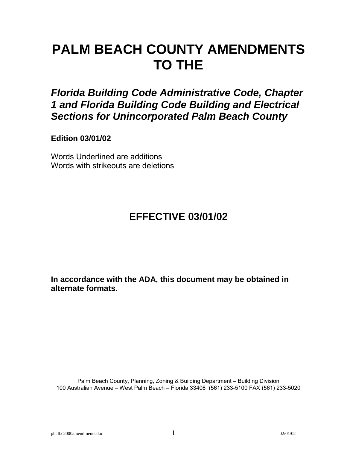# **PALM BEACH COUNTY AMENDMENTS TO THE**

*Florida Building Code Administrative Code, Chapter 1 and Florida Building Code Building and Electrical Sections for Unincorporated Palm Beach County* 

**Edition 03/01/02**

Words Underlined are additions Words with strikeouts are deletions

# **EFFECTIVE 03/01/02**

**In accordance with the ADA, this document may be obtained in alternate formats.**

Palm Beach County, Planning, Zoning & Building Department - Building Division 100 Australian Avenue – West Palm Beach – Florida 33406 (561) 233-5100 FAX (561) 233-5020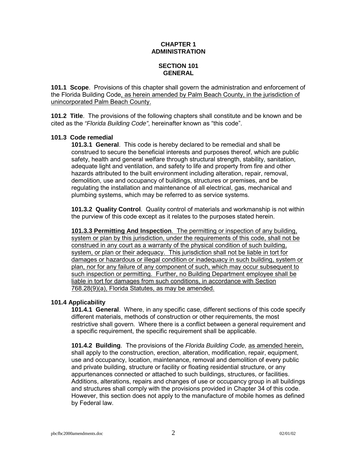# **CHAPTER 1 ADMINISTRATION**

# **SECTION 101 GENERAL**

**101.1 Scope**. Provisions of this chapter shall govern the administration and enforcement of the Florida Building Code, as herein amended by Palm Beach County, in the jurisdiction of unincorporated Palm Beach County.

**101.2 Title**. The provisions of the following chapters shall constitute and be known and be cited as the "Florida Building Code", hereinafter known as "this code".

# **101.3 Code remedial**

**101.3.1 General**. This code is hereby declared to be remedial and shall be construed to secure the beneficial interests and purposes thereof, which are public safety, health and general welfare through structural strength, stability, sanitation, adequate light and ventilation, and safety to life and property from fire and other hazards attributed to the built environment including alteration, repair, removal, demolition, use and occupancy of buildings, structures or premises, and be regulating the installation and maintenance of all electrical, gas, mechanical and plumbing systems, which may be referred to as service systems.

**101.3.2 Quality Control**. Quality control of materials and workmanship is not within the purview of this code except as it relates to the purposes stated herein.

**101.3.3 Permitting And Inspection**. The permitting or inspection of any building, system or plan by this jurisdiction, under the requirements of this code, shall not be construed in any court as a warranty of the physical condition of such building, system, or plan or their adequacy. This jurisdiction shall not be liable in tort for damages or hazardous or illegal condition or inadequacy in such building, system or plan, nor for any failure of any component of such, which may occur subsequent to such inspection or permitting. Further, no Building Department employee shall be liable in tort for damages from such conditions, in accordance with Section 768.28(9)(a), Florida Statutes, as may be amended.

#### **101.4 Applicability**

**101.4.1 General**. Where, in any specific case, different sections of this code specify different materials, methods of construction or other requirements, the most restrictive shall govern. Where there is a conflict between a general requirement and a specific requirement, the specific requirement shall be applicable.

**101.4.2 Building**. The provisions of the *Florida Building Code,* as amended herein, shall apply to the construction, erection, alteration, modification, repair, equipment, use and occupancy, location, maintenance, removal and demolition of every public and private building, structure or facility or floating residential structure, or any appurtenances connected or attached to such buildings, structures, or facilities. Additions, alterations, repairs and changes of use or occupancy group in all buildings and structures shall comply with the provisions provided in Chapter 34 of this code. However, this section does not apply to the manufacture of mobile homes as defined by Federal law.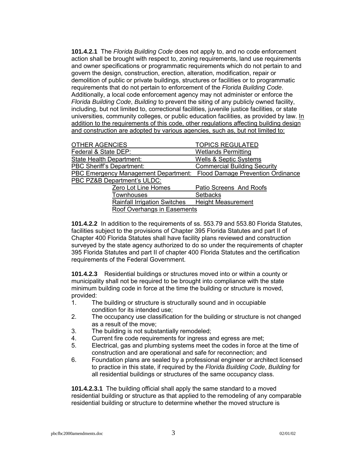**101.4.2.1** The *Florida Building Code* does not apply to, and no code enforcement action shall be brought with respect to, zoning requirements, land use requirements and owner specifications or programmatic requirements which do not pertain to and govern the design, construction, erection, alteration, modification, repair or demolition of public or private buildings, structures or facilities or to programmatic requirements that do not pertain to enforcement of the *Florida Building Code*. Additionally, a local code enforcement agency may not administer or enforce the *Florida Building Code*, *Building* to prevent the siting of any publicly owned facility, including, but not limited to, correctional facilities, juvenile justice facilities, or state universities, community colleges, or public education facilities, as provided by law. In addition to the requirements of this code, other regulations affecting building design and construction are adopted by various agencies, such as, but not limited to:

| OTHER AGENCIES                                                         | <b>TOPICS REGULATED</b>             |
|------------------------------------------------------------------------|-------------------------------------|
|                                                                        |                                     |
| Federal & State DEP:                                                   | <b>Wetlands Permitting</b>          |
| State Health Department:                                               | <b>Wells &amp; Septic Systems</b>   |
| <b>PBC Sheriff's Department:</b>                                       | <b>Commercial Building Security</b> |
| PBC Emergency Management Department: Flood Damage Prevention Ordinance |                                     |
| PBC PZ&B Department's ULDC:                                            |                                     |
| Zero Lot Line Homes                                                    | Patio Screens And Roofs             |
| <b>Townhouses</b>                                                      | <b>Setbacks</b>                     |
| <b>Rainfall Irrigation Switches</b>                                    | <b>Height Measurement</b>           |
|                                                                        |                                     |

Roof Overhangs in Easements

**101.4.2.2** In addition to the requirements of ss. 553.79 and 553.80 Florida Statutes, facilities subject to the provisions of Chapter 395 Florida Statutes and part II of Chapter 400 Florida Statutes shall have facility plans reviewed and construction surveyed by the state agency authorized to do so under the requirements of chapter 395 Florida Statutes and part II of chapter 400 Florida Statutes and the certification requirements of the Federal Government.

**101.4.2.3** Residential buildings or structures moved into or within a county or municipality shall not be required to be brought into compliance with the state minimum building code in force at the time the building or structure is moved, provided:

- 1. The building or structure is structurally sound and in occupiable condition for its intended use;
- 2. The occupancy use classification for the building or structure is not changed as a result of the move;
- 3. The building is not substantially remodeled;
- 4. Current fire code requirements for ingress and egress are met;
- 5. Electrical, gas and plumbing systems meet the codes in force at the time of construction and are operational and safe for reconnection; and
- 6. Foundation plans are sealed by a professional engineer or architect licensed to practice in this state, if required by the *Florida Building Code*, *Building* for all residential buildings or structures of the same occupancy class.

**101.4.2.3.1** The building official shall apply the same standard to a moved residential building or structure as that applied to the remodeling of any comparable residential building or structure to determine whether the moved structure is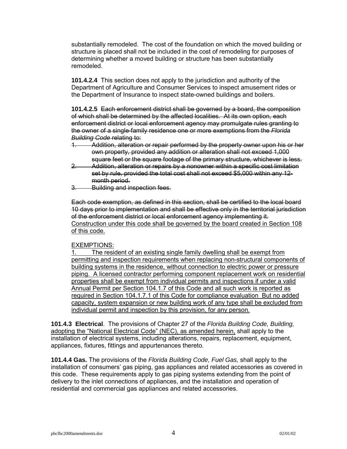substantially remodeled. The cost of the foundation on which the moved building or structure is placed shall not be included in the cost of remodeling for purposes of determining whether a moved building or structure has been substantially remodeled.

**101.4.2.4** This section does not apply to the jurisdiction and authority of the Department of Agriculture and Consumer Services to inspect amusement rides or the Department of Insurance to inspect state-owned buildings and boilers.

**101.4.2.5** Each enforcement district shall be governed by a board, the composition of which shall be determined by the affected localities. At its own option, each enforcement district or local enforcement agency may promulgate rules granting to the owner of a single-family residence one or more exemptions from the *Florida Building Code* relating to:

- 1. Addition, alteration or repair performed by the property owner upon his or her own property, provided any addition or alteration shall not exceed 1,000 square feet or the square footage of the primary structure, whichever is less.
- 2. Addition, alteration or repairs by a nonowner within a specific cost limitation set by rule, provided the total cost shall not exceed \$5,000 within any 12 month period.
- 3. Building and inspection fees.

Each code exemption, as defined in this section, shall be certified to the local board 10 days prior to implementation and shall be effective only in the territorial jurisdiction of the enforcement district or local enforcement agency implementing it. Construction under this code shall be governed by the board created in Section 108 of this code.

# EXEMPTIONS:

The resident of an existing single family dwelling shall be exempt from permitting and inspection requirements when replacing non-structural components of building systems in the residence, without connection to electric power or pressure piping. A licensed contractor performing component replacement work on residential properties shall be exempt from individual permits and inspections if under a valid Annual Permit per Section 104.1.7 of this Code and all such work is reported as required in Section 104.1.7.1 of this Code for compliance evaluation But no added capacity, system expansion or new building work of any type shall be excluded from individual permit and inspection by this provision, for any person.

**101.4.3 Electrical**. The provisions of Chapter 27 of the *Florida Building Code, Building,*  adopting the "National Electrical Code" (NEC), as amended herein, shall apply to the installation of electrical systems, including alterations, repairs, replacement, equipment, appliances, fixtures, fittings and appurtenances thereto.

**101.4.4 Gas.** The provisions of the *Florida Building Code, Fuel Gas,* shall apply to the installation of consumersí gas piping, gas appliances and related accessories as covered in this code. These requirements apply to gas piping systems extending from the point of delivery to the inlet connections of appliances, and the installation and operation of residential and commercial gas appliances and related accessories.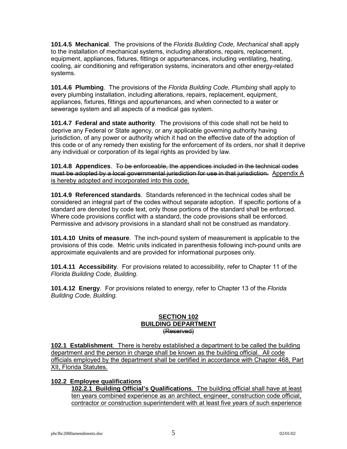**101.4.5 Mechanical**. The provisions of the *Florida Building Code, Mechanical* shall apply to the installation of mechanical systems, including alterations, repairs, replacement, equipment, appliances, fixtures, fittings or appurtenances, including ventilating, heating, cooling, air conditioning and refrigeration systems, incinerators and other energy-related systems.

**101.4.6 Plumbing**. The provisions of the *Florida Building Code, Plumbing* shall apply to every plumbing installation, including alterations, repairs, replacement, equipment, appliances, fixtures, fittings and appurtenances, and when connected to a water or sewerage system and all aspects of a medical gas system.

**101.4.7 Federal and state authority**. The provisions of this code shall not be held to deprive any Federal or State agency, or any applicable governing authority having jurisdiction, of any power or authority which it had on the effective date of the adoption of this code or of any remedy then existing for the enforcement of its orders, nor shall it deprive any individual or corporation of its legal rights as provided by law.

**101.4.8 Appendices**. To be enforceable, the appendices included in the technical codes must be adopted by a local governmental jurisdiction for use in that jurisdiction. Appendix A is hereby adopted and incorporated into this code.

**101.4.9 Referenced standards**. Standards referenced in the technical codes shall be considered an integral part of the codes without separate adoption. If specific portions of a standard are denoted by code text, only those portions of the standard shall be enforced. Where code provisions conflict with a standard, the code provisions shall be enforced. Permissive and advisory provisions in a standard shall not be construed as mandatory.

**101.4.10 Units of measure**. The inch-pound system of measurement is applicable to the provisions of this code. Metric units indicated in parenthesis following inch-pound units are approximate equivalents and are provided for informational purposes only.

**101.4.11 Accessibility**. For provisions related to accessibility, refer to Chapter 11 of the *Florida Building Code, Building.* 

**101.4.12 Energy**. For provisions related to energy, refer to Chapter 13 of the *Florida Building Code, Building.* 

#### **SECTION 102 BUILDING DEPARTMENT** (Reserved)

**102.1 Establishment**. There is hereby established a department to be called the building department and the person in charge shall be known as the building official. All code officials employed by the department shall be certified in accordance with Chapter 468, Part XII, Florida Statutes.

# **102.2 Employee qualifications**

**102.2.1 Building Official's Qualifications**. The building official shall have at least ten years combined experience as an architect, engineer, construction code official, contractor or construction superintendent with at least five years of such experience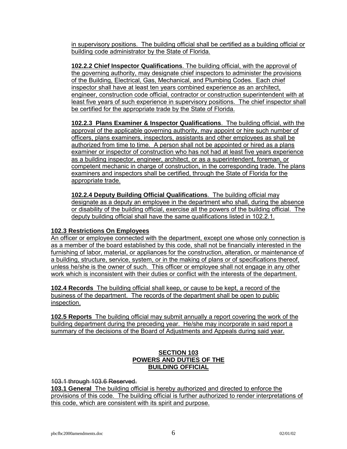in supervisory positions. The building official shall be certified as a building official or building code administrator by the State of Florida.

**102.2.2 Chief Inspector Qualifications**. The building official, with the approval of the governing authority, may designate chief inspectors to administer the provisions of the Building, Electrical, Gas, Mechanical, and Plumbing Codes. Each chief inspector shall have at least ten years combined experience as an architect, engineer, construction code official, contractor or construction superintendent with at least five years of such experience in supervisory positions. The chief inspector shall be certified for the appropriate trade by the State of Florida.

**102.2.3 Plans Examiner & Inspector Qualifications**. The building official, with the approval of the applicable governing authority, may appoint or hire such number of officers, plans examiners, inspectors, assistants and other employees as shall be authorized from time to time. A person shall not be appointed or hired as a plans examiner or inspector of construction who has not had at least five years experience as a building inspector, engineer, architect, or as a superintendent, foreman, or competent mechanic in charge of construction, in the corresponding trade. The plans examiners and inspectors shall be certified, through the State of Florida for the appropriate trade.

**102.2.4 Deputy Building Official Qualifications**. The building official may designate as a deputy an employee in the department who shall, during the absence or disability of the building official, exercise all the powers of the building official. The deputy building official shall have the same qualifications listed in 102.2.1.

# **102.3 Restrictions On Employees**

An officer or employee connected with the department, except one whose only connection is as a member of the board established by this code, shall not be financially interested in the furnishing of labor, material, or appliances for the construction, alteration, or maintenance of a building, structure, service, system, or in the making of plans or of specifications thereof, unless he/she is the owner of such. This officer or employee shall not engage in any other work which is inconsistent with their duties or conflict with the interests of the department.

**102.4 Records** The building official shall keep, or cause to be kept, a record of the business of the department. The records of the department shall be open to public inspection.

**102.5 Reports** The building official may submit annually a report covering the work of the building department during the preceding year. He/she may incorporate in said report a summary of the decisions of the Board of Adjustments and Appeals during said year.

# **SECTION 103 POWERS AND DUTIES OF THE BUILDING OFFICIAL**

103.1 through 103.6 Reserved.

**103.1 General** The building official is hereby authorized and directed to enforce the provisions of this code. The building official is further authorized to render interpretations of this code, which are consistent with its spirit and purpose.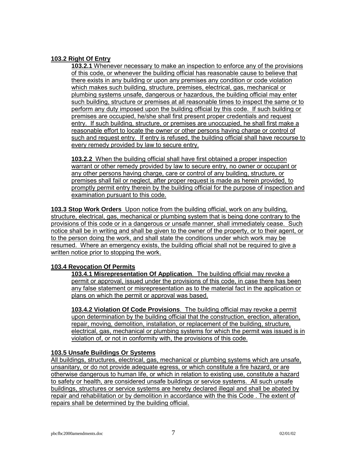# **103.2 Right Of Entry**

**103.2.1** Whenever necessary to make an inspection to enforce any of the provisions of this code, or whenever the building official has reasonable cause to believe that there exists in any building or upon any premises any condition or code violation which makes such building, structure, premises, electrical, gas, mechanical or plumbing systems unsafe, dangerous or hazardous, the building official may enter such building, structure or premises at all reasonable times to inspect the same or to perform any duty imposed upon the building official by this code. If such building or premises are occupied, he/she shall first present proper credentials and request entry. If such building, structure, or premises are unoccupied, he shall first make a reasonable effort to locate the owner or other persons having charge or control of such and request entry. If entry is refused, the building official shall have recourse to every remedy provided by law to secure entry.

**103.2.2** When the building official shall have first obtained a proper inspection warrant or other remedy provided by law to secure entry, no owner or occupant or any other persons having charge, care or control of any building, structure, or premises shall fail or neglect, after proper request is made as herein provided, to promptly permit entry therein by the building official for the purpose of inspection and examination pursuant to this code.

**103.3 Stop Work Orders** Upon notice from the building official, work on any building, structure, electrical, gas, mechanical or plumbing system that is being done contrary to the provisions of this code or in a dangerous or unsafe manner, shall immediately cease. Such notice shall be in writing and shall be given to the owner of the property, or to their agent, or to the person doing the work, and shall state the conditions under which work may be resumed. Where an emergency exists, the building official shall not be required to give a written notice prior to stopping the work.

# **103.4 Revocation Of Permits**

**103.4.1 Misrepresentation Of Application**. The building official may revoke a permit or approval, issued under the provisions of this code, in case there has been any false statement or misrepresentation as to the material fact in the application or plans on which the permit or approval was based.

**103.4.2 Violation Of Code Provisions**. The building official may revoke a permit upon determination by the building official that the construction, erection, alteration, repair, moving, demolition, installation, or replacement of the building, structure, electrical, gas, mechanical or plumbing systems for which the permit was issued is in violation of, or not in conformity with, the provisions of this code.

# **103.5 Unsafe Buildings Or Systems**

All buildings, structures, electrical, gas, mechanical or plumbing systems which are unsafe, unsanitary, or do not provide adequate egress, or which constitute a fire hazard, or are otherwise dangerous to human life, or which in relation to existing use, constitute a hazard to safety or health, are considered unsafe buildings or service systems. All such unsafe buildings, structures or service systems are hereby declared illegal and shall be abated by repair and rehabilitation or by demolition in accordance with the this Code . The extent of repairs shall be determined by the building official.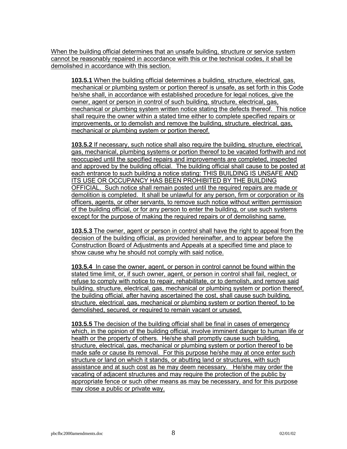When the building official determines that an unsafe building, structure or service system cannot be reasonably repaired in accordance with this or the technical codes, it shall be demolished in accordance with this section.

**103.5.1** When the building official determines a building, structure, electrical, gas, mechanical or plumbing system or portion thereof is unsafe, as set forth in this Code he/she shall, in accordance with established procedure for legal notices, give the owner, agent or person in control of such building, structure, electrical, gas, mechanical or plumbing system written notice stating the defects thereof. This notice shall require the owner within a stated time either to complete specified repairs or improvements, or to demolish and remove the building, structure, electrical, gas, mechanical or plumbing system or portion thereof.

**103.5.2** If necessary, such notice shall also require the building, structure, electrical, gas, mechanical, plumbing systems or portion thereof to be vacated forthwith and not reoccupied until the specified repairs and improvements are completed, inspected and approved by the building official. The building official shall cause to be posted at each entrance to such building a notice stating: THIS BUILDING IS UNSAFE AND ITS USE OR OCCUPANCY HAS BEEN PROHIBITED BY THE BUILDING OFFICIAL. Such notice shall remain posted until the required repairs are made or demolition is completed. It shall be unlawful for any person, firm or corporation or its officers, agents, or other servants, to remove such notice without written permission of the building official, or for any person to enter the building, or use such systems except for the purpose of making the required repairs or of demolishing same.

**103.5.3** The owner, agent or person in control shall have the right to appeal from the decision of the building official, as provided hereinafter, and to appear before the Construction Board of Adjustments and Appeals at a specified time and place to show cause why he should not comply with said notice.

**103.5.4** In case the owner, agent, or person in control cannot be found within the stated time limit, or, if such owner, agent, or person in control shall fail, neglect, or refuse to comply with notice to repair, rehabilitate, or to demolish, and remove said building, structure, electrical, gas, mechanical or plumbing system or portion thereof, the building official, after having ascertained the cost, shall cause such building, structure, electrical, gas, mechanical or plumbing system or portion thereof, to be demolished, secured, or required to remain vacant or unused.

**103.5.5** The decision of the building official shall be final in cases of emergency which, in the opinion of the building official, involve imminent danger to human life or health or the property of others. He/she shall promptly cause such building, structure, electrical, gas, mechanical or plumbing system or portion thereof to be made safe or cause its removal. For this purpose he/she may at once enter such structure or land on which it stands, or abutting land or structures, with such assistance and at such cost as he may deem necessary. He/she may order the vacating of adjacent structures and may require the protection of the public by appropriate fence or such other means as may be necessary, and for this purpose may close a public or private way.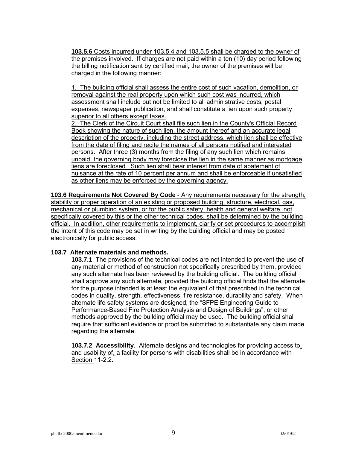**103.5.6** Costs incurred under 103.5.4 and 103.5.5 shall be charged to the owner of the premises involved. If charges are not paid within a ten (10) day period following the billing notification sent by certified mail, the owner of the premises will be charged in the following manner:

1. The building official shall assess the entire cost of such vacation, demolition, or removal against the real property upon which such cost was incurred, which assessment shall include but not be limited to all administrative costs, postal expenses, newspaper publication, and shall constitute a lien upon such property superior to all others except taxes.

2. The Clerk of the Circuit Court shall file such lien in the County's Official Record Book showing the nature of such lien, the amount thereof and an accurate legal description of the property, including the street address, which lien shall be effective from the date of filing and recite the names of all persons notified and interested persons. After three (3) months from the filing of any such lien which remains unpaid, the governing body may foreclose the lien in the same manner as mortgage liens are foreclosed. Such lien shall bear interest from date of abatement of nuisance at the rate of 10 percent per annum and shall be enforceable if unsatisfied as other liens may be enforced by the governing agency.

**103.6 Requirements Not Covered By Code** - Any requirements necessary for the strength, stability or proper operation of an existing or proposed building, structure, electrical, gas, mechanical or plumbing system, or for the public safety, health and general welfare, not specifically covered by this or the other technical codes, shall be determined by the building official. In addition, other requirements to implement, clarify or set procedures to accomplish the intent of this code may be set in writing by the building official and may be posted electronically for public access.

#### **103.7 Alternate materials and methods.**

**103.7.1** The provisions of the technical codes are not intended to prevent the use of any material or method of construction not specifically prescribed by them, provided any such alternate has been reviewed by the building official. The building official shall approve any such alternate, provided the building official finds that the alternate for the purpose intended is at least the equivalent of that prescribed in the technical codes in quality, strength, effectiveness, fire resistance, durability and safety. When alternate life safety systems are designed, the "SFPE Engineering Guide to Performance-Based Fire Protection Analysis and Design of Buildingsî, or other methods approved by the building official may be used. The building official shall require that sufficient evidence or proof be submitted to substantiate any claim made regarding the alternate.

**103.7.2 Accessibility**. Alternate designs and technologies for providing access to, and usability of, a facility for persons with disabilities shall be in accordance with Section 11-2.2.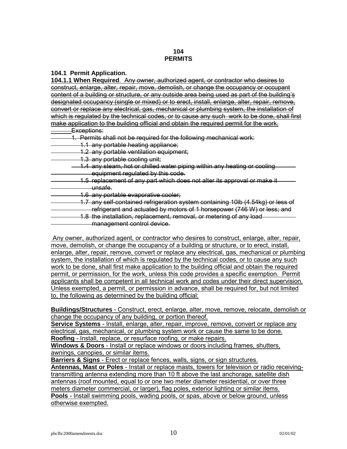# **104 PERMITS**

#### **104.1 Permit Application.**

**104.1.1 When Required**. Any owner, authorized agent, or contractor who desires to construct, enlarge, alter, repair, move, demolish, or change the occupancy or occupant content of a building or structure, or any outside area being used as part of the buildingís designated occupancy (single or mixed) or to erect, install, enlarge, alter, repair, remove, convert or replace any electrical, gas, mechanical or plumbing system, the installation of which is regulated by the technical codes, or to cause any such work to be done, shall first make application to the building official and obtain the required permit for the work.

- Exceptions:
- 1. Permits shall not be required for the following mechanical work:
- 1.1 any portable heating appliance;
- 1.2 any portable ventilation equipment;
- 1.3 any portable cooling unit;

1.4 any steam, hot or chilled water piping within any heating or cooling equipment regulated by this code.

- 1.5 replacement of any part which does not alter its approval or make it unsafe.
- 1.6 any portable evaporative cooler;
- 1.7 any self-contained refrigeration system containing 10lb (4.54kg) or less of
- refrigerant and actuated by motors of 1 horsepower (746 W) or less; and 1.8 the installation, replacement, removal, or metering of any load management control device.

 Any owner, authorized agent, or contractor who desires to construct, enlarge, alter, repair, move, demolish, or change the occupancy of a building or structure, or to erect, install, enlarge, alter, repair, remove, convert or replace any electrical, gas, mechanical or plumbing system, the installation of which is regulated by the technical codes, or to cause any such work to be done, shall first make application to the building official and obtain the required permit, or permission, for the work, unless this code provides a specific exemption. Permit applicants shall be competent in all technical work and codes under their direct supervision. Unless exempted, a permit, or permission in advance, shall be required for, but not limited to, the following as determined by the building official:

**Buildings/Structures** - Construct, erect, enlarge, alter, move, remove, relocate, demolish or change the occupancy of any building, or portion thereof.

**Service Systems** - Install, enlarge, alter, repair, improve, remove, convert or replace any electrical, gas, mechanical, or plumbing system work or cause the same to be done. **Roofing** - Install, replace, or resurface roofing, or make repairs.

**Windows & Doors** - Install or replace windows or doors including frames, shutters, awnings, canopies, or similar items.

**Barriers & Signs** - Erect or replace fences, walls, signs, or sign structures. **Antennas, Mast or Poles** - Install or replace masts, towers for television or radio receivingtransmitting antenna extending more than 10 ft above the last anchorage, satellite dish antennas (roof mounted, equal to or one two meter diameter residential, or over three meters diameter commercial, or larger), flag poles, exterior lighting or similar items. **Pools** - Install swimming pools, wading pools, or spas, above or below ground, unless otherwise exempted.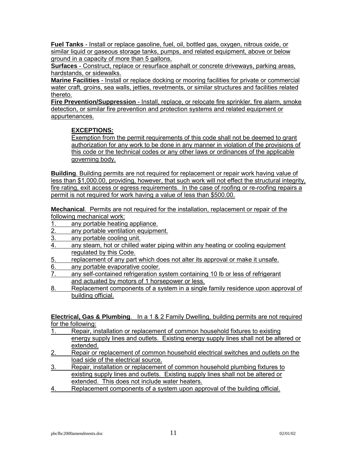**Fuel Tanks** - Install or replace gasoline, fuel, oil, bottled gas, oxygen, nitrous oxide, or similar liquid or gaseous storage tanks, pumps, and related equipment, above or below ground in a capacity of more than 5 gallons.

**Surfaces** - Construct, replace or resurface asphalt or concrete driveways, parking areas, hardstands, or sidewalks.

**Marine Facilities** - Install or replace docking or mooring facilities for private or commercial water craft, groins, sea walls, jetties, revetments, or similar structures and facilities related thereto.

**Fire Prevention/Suppression** - Install, replace, or relocate fire sprinkler, fire alarm, smoke detection, or similar fire prevention and protection systems and related equipment or appurtenances.

# **EXCEPTIONS:**

Exemption from the permit requirements of this code shall not be deemed to grant authorization for any work to be done in any manner in violation of the provisions of this code or the technical codes or any other laws or ordinances of the applicable governing body.

**Building**. Building permits are not required for replacement or repair work having value of less than \$1,000.00, providing, however, that such work will not effect the structural integrity, fire rating, exit access or egress requirements. In the case of roofing or re-roofing repairs a permit is not required for work having a value of less than \$500.00.

**Mechanical**. Permits are not required for the installation, replacement or repair of the following mechanical work:

- 1. any portable heating appliance.
- 2. any portable ventilation equipment.
- 3. any portable cooling unit.
- 4. any steam, hot or chilled water piping within any heating or cooling equipment regulated by this Code.
- 5. replacement of any part which does not alter its approval or make it unsafe.
- 6. any portable evaporative cooler.
- 7. any self-contained refrigeration system containing 10 lb or less of refrigerant and actuated by motors of 1 horsepower or less.
- 8. Replacement components of a system in a single family residence upon approval of building official.

**Electrical, Gas & Plumbing**. In a 1 & 2 Family Dwelling, building permits are not required for the following:

- 1. Repair, installation or replacement of common household fixtures to existing energy supply lines and outlets. Existing energy supply lines shall not be altered or extended.
- 2. Repair or replacement of common household electrical switches and outlets on the load side of the electrical source.
- 3. Repair, installation or replacement of common household plumbing fixtures to existing supply lines and outlets. Existing supply lines shall not be altered or extended. This does not include water heaters.
- 4. Replacement components of a system upon approval of the building official.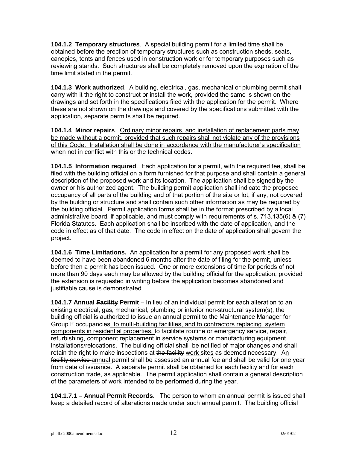**104.1.2 Temporary structures**. A special building permit for a limited time shall be obtained before the erection of temporary structures such as construction sheds, seats, canopies, tents and fences used in construction work or for temporary purposes such as reviewing stands. Such structures shall be completely removed upon the expiration of the time limit stated in the permit.

**104.1.3 Work authorized**. A building, electrical, gas, mechanical or plumbing permit shall carry with it the right to construct or install the work, provided the same is shown on the drawings and set forth in the specifications filed with the application for the permit. Where these are not shown on the drawings and covered by the specifications submitted with the application, separate permits shall be required.

**104.1.4 Minor repairs**. Ordinary minor repairs, and installation of replacement parts may be made without a permit, provided that such repairs shall not violate any of the provisions of this Code. Installation shall be done in accordance with the manufacturer's specification when not in conflict with this or the technical codes.

**104.1.5 Information required**. Each application for a permit, with the required fee, shall be filed with the building official on a form furnished for that purpose and shall contain a general description of the proposed work and its location. The application shall be signed by the owner or his authorized agent. The building permit application shall indicate the proposed occupancy of all parts of the building and of that portion of the site or lot, if any, not covered by the building or structure and shall contain such other information as may be required by the building official. Permit application forms shall be in the format prescribed by a local administrative board, if applicable, and must comply with requirements of s. 713.135(6) & (7) Florida Statutes. Each application shall be inscribed with the date of application, and the code in effect as of that date. The code in effect on the date of application shall govern the project.

**104.1.6 Time Limitations.** An application for a permit for any proposed work shall be deemed to have been abandoned 6 months after the date of filing for the permit, unless before then a permit has been issued. One or more extensions of time for periods of not more than 90 days each may be allowed by the building official for the application, provided the extension is requested in writing before the application becomes abandoned and justifiable cause is demonstrated.

**104.1.7 Annual Facility Permit** – In lieu of an individual permit for each alteration to an existing electrical, gas, mechanical, plumbing or interior non-structural system(s), the building official is authorized to issue an annual permit to the Maintenance Manager for Group F occupancies, to multi-building facilities, and to contractors replacing system components in residential properties, to facilitate routine or emergency service, repair, refurbishing, component replacement in service systems or manufacturing equipment installations/relocations. The building official shall be notified of major changes and shall retain the right to make inspections at the facility work sites as deemed necessary. An facility service annual permit shall be assessed an annual fee and shall be valid for one year from date of issuance. A separate permit shall be obtained for each facility and for each construction trade, as applicable. The permit application shall contain a general description of the parameters of work intended to be performed during the year.

**104.1.7.1 – Annual Permit Records**. The person to whom an annual permit is issued shall keep a detailed record of alterations made under such annual permit. The building official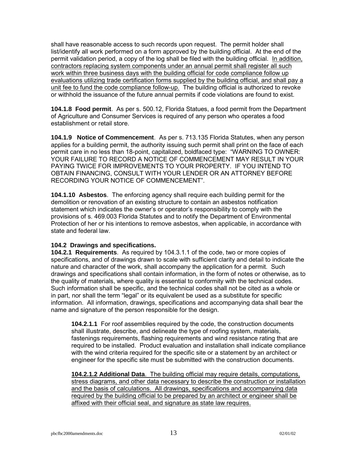shall have reasonable access to such records upon request. The permit holder shall list/identify all work performed on a form approved by the building official. At the end of the permit validation period, a copy of the log shall be filed with the building official. In addition, contractors replacing system components under an annual permit shall register all such work within three business days with the building official for code compliance follow up evaluations utilizing trade certification forms supplied by the building official, and shall pay a unit fee to fund the code compliance follow-up. The building official is authorized to revoke or withhold the issuance of the future annual permits if code violations are found to exist.

**104.1.8 Food permit**. As per s. 500.12, Florida Statues, a food permit from the Department of Agriculture and Consumer Services is required of any person who operates a food establishment or retail store.

**104.1.9 Notice of Commencement**. As per s. 713.135 Florida Statutes, when any person applies for a building permit, the authority issuing such permit shall print on the face of each permit care in no less than 18-point, capitalized, boldfaced type: "WARNING TO OWNER: YOUR FAILURE TO RECORD A NOTICE OF COMMENCEMENT MAY RESULT IN YOUR PAYING TWICE FOR IMPROVEMENTS TO YOUR PROPERTY. IF YOU INTEND TO OBTAIN FINANCING, CONSULT WITH YOUR LENDER OR AN ATTORNEY BEFORE RECORDING YOUR NOTICE OF COMMENCEMENT".

**104.1.10 Asbestos**. The enforcing agency shall require each building permit for the demolition or renovation of an existing structure to contain an asbestos notification statement which indicates the owner's or operator's responsibility to comply with the provisions of s. 469.003 Florida Statutes and to notify the Department of Environmental Protection of her or his intentions to remove asbestos, when applicable, in accordance with state and federal law.

# **104.2 Drawings and specifications.**

**104.2.1 Requirements**. As required by 104.3.1.1 of the code, two or more copies of specifications, and of drawings drawn to scale with sufficient clarity and detail to indicate the nature and character of the work, shall accompany the application for a permit. Such drawings and specifications shall contain information, in the form of notes or otherwise, as to the quality of materials, where quality is essential to conformity with the technical codes. Such information shall be specific, and the technical codes shall not be cited as a whole or in part, nor shall the term "legal" or its equivalent be used as a substitute for specific information. All information, drawings, specifications and accompanying data shall bear the name and signature of the person responsible for the design.

**104.2.1.1** For roof assemblies required by the code, the construction documents shall illustrate, describe, and delineate the type of roofing system, materials, fastenings requirements, flashing requirements and wind resistance rating that are required to be installed. Product evaluation and installation shall indicate compliance with the wind criteria required for the specific site or a statement by an architect or engineer for the specific site must be submitted with the construction documents.

**104.2.1.2 Additional Data**. The building official may require details, computations, stress diagrams, and other data necessary to describe the construction or installation and the basis of calculations. All drawings, specifications and accompanying data required by the building official to be prepared by an architect or engineer shall be affixed with their official seal, and signature as state law requires.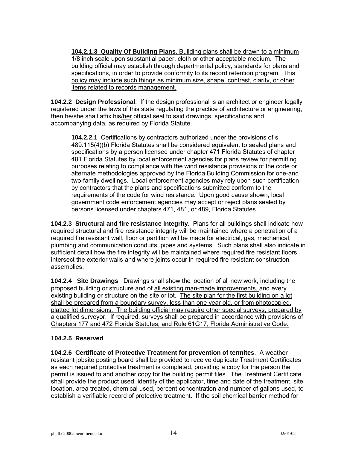**104.2.1.3 Quality Of Building Plans**. Building plans shall be drawn to a minimum 1/8 inch scale upon substantial paper, cloth or other acceptable medium. The building official may establish through departmental policy, standards for plans and specifications, in order to provide conformity to its record retention program. This policy may include such things as minimum size, shape, contrast, clarity, or other items related to records management.

**104.2.2 Design Professional**. If the design professional is an architect or engineer legally registered under the laws of this state regulating the practice of architecture or engineering, then he/she shall affix his/her official seal to said drawings, specifications and accompanying data, as required by Florida Statute.

**104.2.2.1** Certifications by contractors authorized under the provisions of s. 489.115(4)(b) Florida Statutes shall be considered equivalent to sealed plans and specifications by a person licensed under chapter 471 Florida Statutes of chapter 481 Florida Statutes by local enforcement agencies for plans review for permitting purposes relating to compliance with the wind resistance provisions of the code or alternate methodologies approved by the Florida Building Commission for one-and two-family dwellings. Local enforcement agencies may rely upon such certification by contractors that the plans and specifications submitted conform to the requirements of the code for wind resistance. Upon good cause shown, local government code enforcement agencies may accept or reject plans sealed by persons licensed under chapters 471, 481, or 489, Florida Statutes.

**104.2.3 Structural and fire resistance integrity**. Plans for all buildings shall indicate how required structural and fire resistance integrity will be maintained where a penetration of a required fire resistant wall, floor or partition will be made for electrical, gas, mechanical, plumbing and communication conduits, pipes and systems. Such plans shall also indicate in sufficient detail how the fire integrity will be maintained where required fire resistant floors intersect the exterior walls and where joints occur in required fire resistant construction assemblies.

**104.2.4 Site Drawings**. Drawings shall show the location of all new work, including the proposed building or structure and of all existing man-made improvements, and every existing building or structure on the site or lot. The site plan for the first building on a lot shall be prepared from a boundary survey, less than one year old, or from photocopied, platted lot dimensions. The building official may require other special surveys, prepared by a qualified surveyor. If required, surveys shall be prepared in accordance with provisions of Chapters 177 and 472 Florida Statutes, and Rule 61G17, Florida Administrative Code.

# **104.2.5 Reserved**.

**104.2.6 Certificate of Protective Treatment for prevention of termites**. A weather resistant jobsite posting board shall be provided to receive duplicate Treatment Certificates as each required protective treatment is completed, providing a copy for the person the permit is issued to and another copy for the building permit files. The Treatment Certificate shall provide the product used, identity of the applicator, time and date of the treatment, site location, area treated, chemical used, percent concentration and number of gallons used, to establish a verifiable record of protective treatment. If the soil chemical barrier method for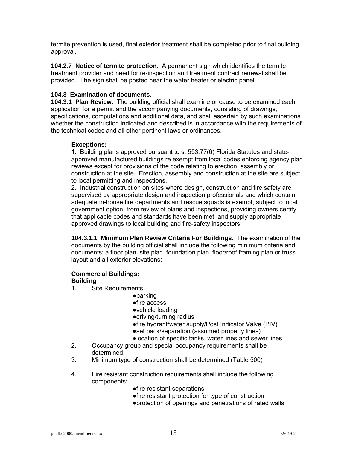termite prevention is used, final exterior treatment shall be completed prior to final building approval.

**104.2.7 Notice of termite protection**. A permanent sign which identifies the termite treatment provider and need for re-inspection and treatment contract renewal shall be provided. The sign shall be posted near the water heater or electric panel.

# **104.3 Examination of documents**.

**104.3.1 Plan Review**. The building official shall examine or cause to be examined each application for a permit and the accompanying documents, consisting of drawings, specifications, computations and additional data, and shall ascertain by such examinations whether the construction indicated and described is in accordance with the requirements of the technical codes and all other pertinent laws or ordinances.

#### **Exceptions:**

1. Building plans approved pursuant to s. 553.77(6) Florida Statutes and stateapproved manufactured buildings re exempt from local codes enforcing agency plan reviews except for provisions of the code relating to erection, assembly or construction at the site. Erection, assembly and construction at the site are subject to local permitting and inspections.

2. Industrial construction on sites where design, construction and fire safety are supervised by appropriate design and inspection professionals and which contain adequate in-house fire departments and rescue squads is exempt, subject to local government option, from review of plans and inspections, providing owners certify that applicable codes and standards have been met and supply appropriate approved drawings to local building and fire-safety inspectors.

**104.3.1.1 Minimum Plan Review Criteria For Buildings**. The examination of the documents by the building official shall include the following minimum criteria and documents; a floor plan, site plan, foundation plan, floor/roof framing plan or truss layout and all exterior elevations:

# **Commercial Buildings:**

#### **Building**

- 1. Site Requirements
	- ●parking
	- ●fire access
	- ●vehicle loading
	- ●driving/turning radius
	- ●fire hydrant/water supply/Post Indicator Valve (PIV)
	- ●set back/separation (assumed property lines)
	- ●location of specific tanks, water lines and sewer lines
- 2. Occupancy group and special occupancy requirements shall be determined.
- 3. Minimum type of construction shall be determined (Table 500)
- 4. Fire resistant construction requirements shall include the following components:
	- ●fire resistant separations
	- ●fire resistant protection for type of construction
	- ●protection of openings and penetrations of rated walls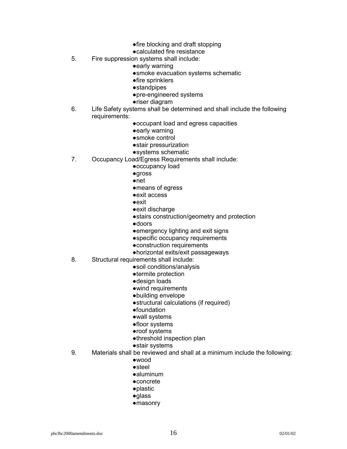- ●fire blocking and draft stopping
- ●calculated fire resistance
- 5. Fire suppression systems shall include:
	- ●early warning
	- ●smoke evacuation systems schematic
	- ●fire sprinklers
	- ●standpipes
	- ●pre-engineered systems
	- ●riser diagram
- 6. Life Safety systems shall be determined and shall include the following requirements:
	- ●occupant load and egress capacities
	- ●early warning
	- ●smoke control
	- ●stair pressurization
	- ●systems schematic
- 7. Occupancy Load/Egress Requirements shall include:
	- ●occupancy load
	- ●gross
	- ●net
	- ●means of egress
	- ●exit access
	- ●exit
	- ●exit discharge
	- ●stairs construction/geometry and protection
	- ●doors
	- ●emergency lighting and exit signs
	- ●specific occupancy requirements
	- ●construction requirements
	- ●horizontal exits/exit passageways
- 8. Structural requirements shall include:
	- ●soil conditions/analysis
	- ●termite protection
	- ●design loads
	- ●wind requirements
	- ●building envelope
	- ●structural calculations (if required)
	- ●foundation
	- ●wall systems
	- ●floor systems
	- ●roof systems
	- ●threshold inspection plan
	- ●stair systems
- 9. Materials shall be reviewed and shall at a minimum include the following:
	- ●wood
	- ●steel
	- ●aluminum
	- ●concrete
	- ●plastic
	- ●glass
	- ●masonry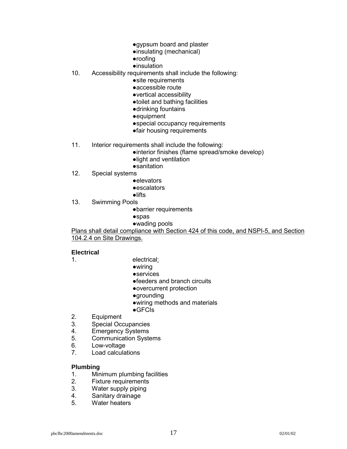- ●gypsum board and plaster
- ●insulating (mechanical)
- ●roofing
- ●insulation
- 10. Accessibility requirements shall include the following:
	- ●site requirements
	- ●accessible route
	- ●vertical accessibility
	- ●toilet and bathing facilities
	- ●drinking fountains
	- ●equipment
	- ●special occupancy requirements
	- ●fair housing requirements
- 11. Interior requirements shall include the following:
	- ●interior finishes (flame spread/smoke develop)
	- ●light and ventilation
	-
- sanitation<br>12. Special systems Special systems
	- ●elevators
	- ●escalators
	- ●lifts
- 13. Swimming Pools
	- ●barrier requirements
	- ●spas
	- ●wading pools

Plans shall detail compliance with Section 424 of this code, and NSPI-5, and Section 104.2.4 on Site Drawings.

#### **Electrical**

- 
- 1. electrical:
	- ●wiring
	- ●services
	- ●feeders and branch circuits
	- ●overcurrent protection
	- ●grounding
	- ●wiring methods and materials
	- ●GFCIs
- 2. Equipment
- 3. Special Occupancies
- 4. Emergency Systems
- 5. Communication Systems
- 6. Low-voltage
- 7. Load calculations

#### **Plumbing**

- 1. Minimum plumbing facilities
- 2. Fixture requirements
- 3. Water supply piping
- 4. Sanitary drainage
- 5. Water heaters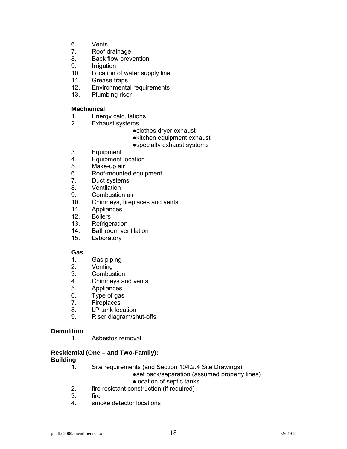- 6. Vents
- 7. Roof drainage
- 8. Back flow prevention
- 9. Irrigation
- 10. Location of water supply line
- 11. Grease traps
- 12. Environmental requirements
- 13. Plumbing riser

# **Mechanical**

- 1. Energy calculations
- 2. Exhaust systems
	- ●clothes dryer exhaust
	- ●kitchen equipment exhaust
	- ●specialty exhaust systems
- 3. Equipment
- 4. Equipment location
- 5. Make-up air
- 6. Roof-mounted equipment
- 7. Duct systems
- 8. Ventilation
- 9. Combustion air
- 10. Chimneys, fireplaces and vents
- 11. Appliances
- 12. Boilers
- 13. Refrigeration
- 14. Bathroom ventilation
- 15. Laboratory

# **Gas**

- 1. Gas piping
- 2. Venting
- 3. Combustion
- 4. Chimneys and vents
- 5. Appliances
- 6. Type of gas
- 7. Fireplaces
- 8. LP tank location
- 9. Riser diagram/shut-offs

# **Demolition**

1. Asbestos removal

#### **Residential (One – and Two-Family): Building**

- 1. Site requirements (and Section 104.2.4 Site Drawings)
	- ●set back/separation (assumed property lines)
	- ●location of septic tanks
- 2. fire resistant construction (if required)
- 3. fire
- 4. smoke detector locations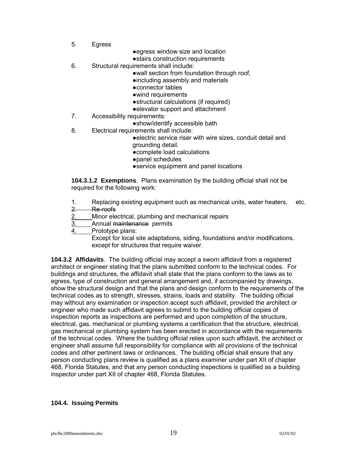- 5. Egress
- ●egress window size and location
- ●stairs construction requirements
- 6. Structural requirements shall include:
	- ●wall section from foundation through roof,
		- ●including assembly and materials
	- ●connector tables
	- ●wind requirements
	- ●structural calculations (if required)
	- ●elevator support and attachment
- 7. Accessibility requirements:
	- ●show/identify accessible bath
- 8. Electrical requirements shall include:
	- ●electric service riser with wire sizes, conduit detail and grounding detail.
	- ●complete load calculations
	- ●panel schedules
	- ●service equipment and panel locations

**104.3.1.2 Exemptions**. Plans examination by the building official shall not be required for the following work:

- 1. Replacing existing equipment such as mechanical units, water heaters, etc.
- 2. Re-roofs
- 2. Minor electrical, plumbing and mechanical repairs
- 3. Annual maintenance permits
- 4. Prototype plans:
	- Except for local site adaptations, siding, foundations and/or modifications. except for structures that require waiver.

**104.3.2 Affidavits**. The building official may accept a sworn affidavit from a registered architect or engineer stating that the plans submitted conform to the technical codes. For buildings and structures, the affidavit shall state that the plans conform to the laws as to egress, type of construction and general arrangement and, if accompanied by drawings, show the structural design and that the plans and design conform to the requirements of the technical codes as to strength, stresses, strains, loads and stability. The building official may without any examination or inspection accept such affidavit, provided the architect or engineer who made such affidavit agrees to submit to the building official copies of inspection reports as inspections are performed and upon completion of the structure, electrical, gas, mechanical or plumbing systems a certification that the structure, electrical, gas mechanical or plumbing system has been erected in accordance with the requirements of the technical codes. Where the building official relies upon such affidavit, the architect or engineer shall assume full responsibility for compliance with all provisions of the technical codes and other pertinent laws or ordinances. The building official shall ensure that any person conducting plans review is qualified as a plans examiner under part XII of chapter 468, Florida Statutes, and that any person conducting inspections is qualified as a building inspector under part XII of chapter 468, Florida Statutes.

#### **104.4. Issuing Permits**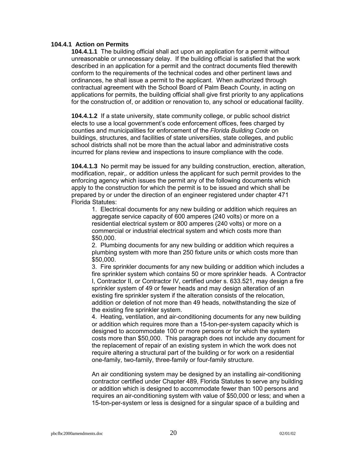#### **104.4.1 Action on Permits**

**104.4.1.1** The building official shall act upon an application for a permit without unreasonable or unnecessary delay. If the building official is satisfied that the work described in an application for a permit and the contract documents filed therewith conform to the requirements of the technical codes and other pertinent laws and ordinances, he shall issue a permit to the applicant. When authorized through contractual agreement with the School Board of Palm Beach County, in acting on applications for permits, the building official shall give first priority to any applications for the construction of, or addition or renovation to, any school or educational facility.

**104.4.1.2** If a state university, state community college, or public school district elects to use a local government's code enforcement offices, fees charged by counties and municipalities for enforcement of the *Florida Building Code* on buildings, structures, and facilities of state universities, state colleges, and public school districts shall not be more than the actual labor and administrative costs incurred for plans review and inspections to insure compliance with the code.

**104.4.1.3** No permit may be issued for any building construction, erection, alteration, modification, repair,. or addition unless the applicant for such permit provides to the enforcing agency which issues the permit any of the following documents which apply to the construction for which the permit is to be issued and which shall be prepared by or under the direction of an engineer registered under chapter 471 Florida Statutes:

1. Electrical documents for any new building or addition which requires an aggregate service capacity of 600 amperes (240 volts) or more on a residential electrical system or 800 amperes (240 volts) or more on a commercial or industrial electrical system and which costs more than \$50,000.

2. Plumbing documents for any new building or addition which requires a plumbing system with more than 250 fixture units or which costs more than \$50,000.

3. Fire sprinkler documents for any new building or addition which includes a fire sprinkler system which contains 50 or more sprinkler heads. A Contractor I, Contractor II, or Contractor IV, certified under s. 633.521, may design a fire sprinkler system of 49 or fewer heads and may design alteration of an existing fire sprinkler system if the alteration consists of the relocation, addition or deletion of not more than 49 heads, notwithstanding the size of the existing fire sprinkler system.

4. Heating, ventilation, and air-conditioning documents for any new building or addition which requires more than a 15-ton-per-system capacity which is designed to accommodate 100 or more persons or for which the system costs more than \$50,000. This paragraph does not include any document for the replacement of repair of an existing system in which the work does not require altering a structural part of the building or for work on a residential one-family, two-family, three-family or four-family structure.

An air conditioning system may be designed by an installing air-conditioning contractor certified under Chapter 489, Florida Statutes to serve any building or addition which is designed to accommodate fewer than 100 persons and requires an air-conditioning system with value of \$50,000 or less; and when a 15-ton-per-system or less is designed for a singular space of a building and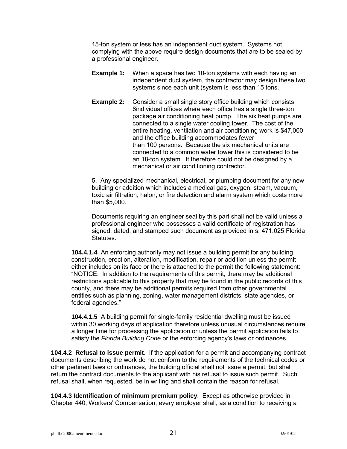15-ton system or less has an independent duct system. Systems not complying with the above require design documents that are to be sealed by a professional engineer.

- **Example 1:** When a space has two 10-ton systems with each having an independent duct system, the contractor may design these two systems since each unit (system is less than 15 tons.
- **Example 2:** Consider a small single story office building which consists 6individual offices where each office has a single three-ton package air conditioning heat pump. The six heat pumps are connected to a single water cooling tower. The cost of the entire heating, ventilation and air conditioning work is \$47,000 and the office building accommodates fewer than 100 persons. Because the six mechanical units are connected to a common water tower this is considered to be an 18-ton system. It therefore could not be designed by a mechanical or air conditioning contractor.

5. Any specialized mechanical, electrical, or plumbing document for any new building or addition which includes a medical gas, oxygen, steam, vacuum, toxic air filtration, halon, or fire detection and alarm system which costs more than \$5,000.

Documents requiring an engineer seal by this part shall not be valid unless a professional engineer who possesses a valid certificate of registration has signed, dated, and stamped such document as provided in s. 471.025 Florida Statutes.

**104.4.1.4** An enforcing authority may not issue a building permit for any building construction, erection, alteration, modification, repair or addition unless the permit either includes on its face or there is attached to the permit the following statement: ìNOTICE: In addition to the requirements of this permit, there may be additional restrictions applicable to this property that may be found in the public records of this county, and there may be additional permits required from other governmental entities such as planning, zoning, water management districts, state agencies, or federal agencies."

**104.4.1.5** A building permit for single-family residential dwelling must be issued within 30 working days of application therefore unless unusual circumstances require a longer time for processing the application or unless the permit application fails to satisfy the *Florida Building Code* or the enforcing agencyís laws or ordinances.

**104.4.2 Refusal to issue permit**. If the application for a permit and accompanying contract documents describing the work do not conform to the requirements of the technical codes or other pertinent laws or ordinances, the building official shall not issue a permit, but shall return the contract documents to the applicant with his refusal to issue such permit. Such refusal shall, when requested, be in writing and shall contain the reason for refusal.

**104.4.3 Identification of minimum premium policy**. Except as otherwise provided in Chapter 440, Workersí Compensation, every employer shall, as a condition to receiving a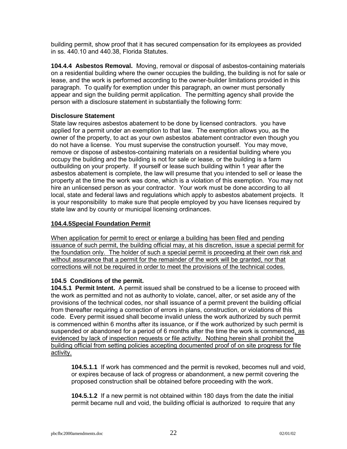building permit, show proof that it has secured compensation for its employees as provided in ss. 440.10 and 440.38, Florida Statutes.

**104.4.4 Asbestos Removal.** Moving, removal or disposal of asbestos-containing materials on a residential building where the owner occupies the building, the building is not for sale or lease, and the work is performed according to the owner-builder limitations provided in this paragraph. To qualify for exemption under this paragraph, an owner must personally appear and sign the building permit application. The permitting agency shall provide the person with a disclosure statement in substantially the following form:

# **Disclosure Statement**

State law requires asbestos abatement to be done by licensed contractors. you have applied for a permit under an exemption to that law. The exemption allows you, as the owner of the property, to act as your own asbestos abatement contractor even though you do not have a license. You must supervise the construction yourself. You may move, remove or dispose of asbestos-containing materials on a residential building where you occupy the building and the building is not for sale or lease, or the building is a farm outbuilding on your property. If yourself or lease such building within 1 year after the asbestos abatement is complete, the law will presume that you intended to sell or lease the property at the time the work was done, which is a violation of this exemption. You may not hire an unlicensed person as your contractor. Your work must be done according to all local, state and federal laws and regulations which apply to asbestos abatement projects. It is your responsibility to make sure that people employed by you have licenses required by state law and by county or municipal licensing ordinances.

# **104.4.5Special Foundation Permit**

When application for permit to erect or enlarge a building has been filed and pending issuance of such permit, the building official may, at his discretion, issue a special permit for the foundation only. The holder of such a special permit is proceeding at their own risk and without assurance that a permit for the remainder of the work will be granted, nor that corrections will not be required in order to meet the provisions of the technical codes.

# **104.5 Conditions of the permit.**

**104.5.1 Permit Intent.** A permit issued shall be construed to be a license to proceed with the work as permitted and not as authority to violate, cancel, alter, or set aside any of the provisions of the technical codes, nor shall issuance of a permit prevent the building official from thereafter requiring a correction of errors in plans, construction, or violations of this code. Every permit issued shall become invalid unless the work authorized by such permit is commenced within 6 months after its issuance, or if the work authorized by such permit is suspended or abandoned for a period of 6 months after the time the work is commenced, as evidenced by lack of inspection requests or file activity. Nothing herein shall prohibit the building official from setting policies accepting documented proof of on site progress for file activity.

**104.5.1.1** If work has commenced and the permit is revoked, becomes null and void, or expires because of lack of progress or abandonment, a new permit covering the proposed construction shall be obtained before proceeding with the work.

**104.5.1.2** If a new permit is not obtained within 180 days from the date the initial permit became null and void, the building official is authorized to require that any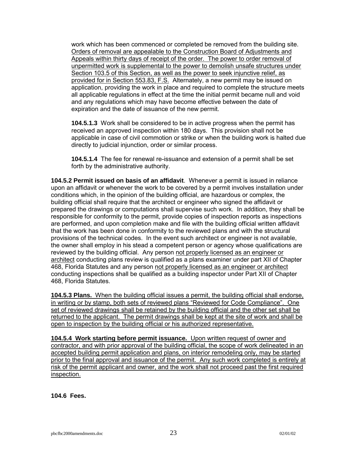work which has been commenced or completed be removed from the building site. Orders of removal are appealable to the Construction Board of Adjustments and Appeals within thirty days of receipt of the order. The power to order removal of unpermitted work is supplemental to the power to demolish unsafe structures under Section 103.5 of this Section, as well as the power to seek injunctive relief, as provided for in Section 553.83, F.S. Alternately, a new permit may be issued on application, providing the work in place and required to complete the structure meets all applicable regulations in effect at the time the initial permit became null and void and any regulations which may have become effective between the date of expiration and the date of issuance of the new permit.

**104.5.1.3** Work shall be considered to be in active progress when the permit has received an approved inspection within 180 days. This provision shall not be applicable in case of civil commotion or strike or when the building work is halted due directly to judicial injunction, order or similar process.

**104.5.1.4** The fee for renewal re-issuance and extension of a permit shall be set forth by the administrative authority.

**104.5.2 Permit issued on basis of an affidavit**. Whenever a permit is issued in reliance upon an affidavit or whenever the work to be covered by a permit involves installation under conditions which, in the opinion of the building official, are hazardous or complex, the building official shall require that the architect or engineer who signed the affidavit or prepared the drawings or computations shall supervise such work. In addition, they shall be responsible for conformity to the permit, provide copies of inspection reports as inspections are performed, and upon completion make and file with the building official written affidavit that the work has been done in conformity to the reviewed plans and with the structural provisions of the technical codes. In the event such architect or engineer is not available, the owner shall employ in his stead a competent person or agency whose qualifications are reviewed by the building official. Any person not properly licensed as an engineer or architect conducting plans review is qualified as a plans examiner under part XII of Chapter 468, Florida Statutes and any person not properly licensed as an engineer or architect conducting inspections shall be qualified as a building inspector under Part XII of Chapter 468, Florida Statutes.

**104.5.3 Plans.** When the building official issues a permit, the building official shall endorse, in writing or by stamp, both sets of reviewed plans "Reviewed for Code Compliance". One set of reviewed drawings shall be retained by the building official and the other set shall be returned to the applicant. The permit drawings shall be kept at the site of work and shall be open to inspection by the building official or his authorized representative.

**104.5.4 Work starting before permit issuance.** Upon written request of owner and contractor, and with prior approval of the building official, the scope of work delineated in an accepted building permit application and plans, on interior remodeling only, may be started prior to the final approval and issuance of the permit. Any such work completed is entirely at risk of the permit applicant and owner, and the work shall not proceed past the first required inspection.

**104.6 Fees.**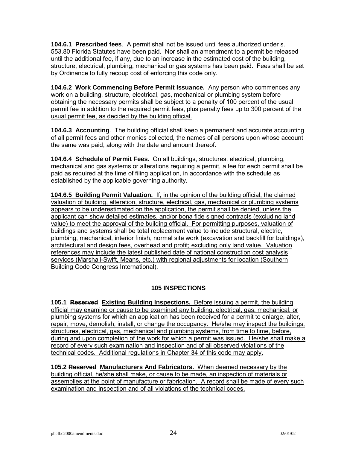**104.6.1 Prescribed fees**. A permit shall not be issued until fees authorized under s. 553.80 Florida Statutes have been paid. Nor shall an amendment to a permit be released until the additional fee, if any, due to an increase in the estimated cost of the building, structure, electrical, plumbing, mechanical or gas systems has been paid. Fees shall be set by Ordinance to fully recoup cost of enforcing this code only.

**104.6.2 Work Commencing Before Permit Issuance.** Any person who commences any work on a building, structure, electrical, gas, mechanical or plumbing system before obtaining the necessary permits shall be subject to a penalty of 100 percent of the usual permit fee in addition to the required permit fees, plus penalty fees up to 300 percent of the usual permit fee, as decided by the building official.

**104.6.3 Accounting**. The building official shall keep a permanent and accurate accounting of all permit fees and other monies collected, the names of all persons upon whose account the same was paid, along with the date and amount thereof.

**104.6.4 Schedule of Permit Fees.** On all buildings, structures, electrical, plumbing, mechanical and gas systems or alterations requiring a permit, a fee for each permit shall be paid as required at the time of filing application, in accordance with the schedule as established by the applicable governing authority.

**104.6.5 Building Permit Valuation.** If, in the opinion of the building official, the claimed valuation of building, alteration, structure, electrical, gas, mechanical or plumbing systems appears to be underestimated on the application, the permit shall be denied, unless the applicant can show detailed estimates, and/or bona fide signed contracts (excluding land value) to meet the approval of the building official. For permitting purposes, valuation of buildings and systems shall be total replacement value to include structural, electric, plumbing, mechanical, interior finish, normal site work (excavation and backfill for buildings), architectural and design fees, overhead and profit; excluding only land value. Valuation references may include the latest published date of national construction cost analysis services (Marshall-Swift, Means, etc.) with regional adjustments for location (Southern Building Code Congress International).

# **105 INSPECTIONS**

**105.1 Reserved Existing Building Inspections.** Before issuing a permit, the building official may examine or cause to be examined any building, electrical, gas, mechanical, or plumbing systems for which an application has been received for a permit to enlarge, alter, repair, move, demolish, install, or change the occupancy. He/she may inspect the buildings, structures, electrical, gas, mechanical and plumbing systems, from time to time, before, during and upon completion of the work for which a permit was issued. He/she shall make a record of every such examination and inspection and of all observed violations of the technical codes. Additional regulations in Chapter 34 of this code may apply.

**105.2 Reserved Manufacturers And Fabricators.** When deemed necessary by the building official, he/she shall make, or cause to be made, an inspection of materials or assemblies at the point of manufacture or fabrication. A record shall be made of every such examination and inspection and of all violations of the technical codes.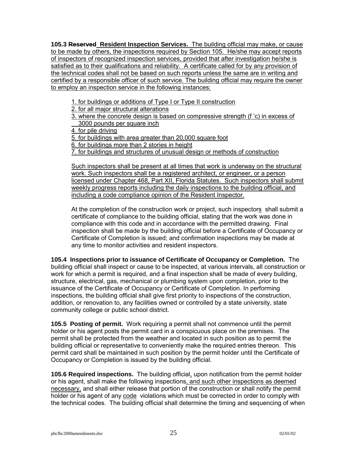**105.3 Reserved Resident Inspection Services.** The building official may make, or cause to be made by others, the inspections required by Section 105. He/she may accept reports of inspectors of recognized inspection services, provided that after investigation he/she is satisfied as to their qualifications and reliability. A certificate called for by any provision of the technical codes shall not be based on such reports unless the same are in writing and certified by a responsible officer of such service. The building official may require the owner to employ an inspection service in the following instances:

1. for buildings or additions of Type I or Type II construction

2. for all major structural alterations

3. where the concrete design is based on compressive strength (f 'c) in excess of 3000 pounds per square inch

4. for pile driving

5. for buildings with area greater than 20,000 square foot

6. for buildings more than 2 stories in height

7. for buildings and structures of unusual design or methods of construction

Such inspectors shall be present at all times that work is underway on the structural work. Such inspectors shall be a registered architect, or engineer, or a person licensed under Chapter 468, Part XII, Florida Statutes. Such inspectors shall submit weekly progress reports including the daily inspections to the building official, and including a code compliance opinion of the Resident Inspector.

At the completion of the construction work or project, such inspectors shall submit a certificate of compliance to the building official, stating that the work was done in compliance with this code and in accordance with the permitted drawing. Final inspection shall be made by the building official before a Certificate of Occupancy or Certificate of Completion is issued; and confirmation inspections may be made at any time to monitor activities and resident inspectors.

**105.4 Inspections prior to issuance of Certificate of Occupancy or Completion.** The building official shall inspect or cause to be inspected, at various intervals, all construction or work for which a permit is required, and a final inspection shall be made of every building, structure, electrical, gas, mechanical or plumbing system upon completion, prior to the issuance of the Certificate of Occupancy or Certificate of Completion. In performing inspections, the building official shall give first priority to inspections of the construction, addition, or renovation to, any facilities owned or controlled by a state university, state community college or public school district.

**105.5 Posting of permit.** Work requiring a permit shall not commence until the permit holder or his agent posts the permit card in a conspicuous place on the premises. The permit shall be protected from the weather and located in such position as to permit the building official or representative to conveniently make the required entries thereon. This permit card shall be maintained in such position by the permit holder until the Certificate of Occupancy or Completion is issued by the building official.

**105.6 Required inspections.** The building official, upon notification from the permit holder or his agent, shall make the following inspections, and such other inspections as deemed necessary, and shall either release that portion of the construction or shall notify the permit holder or his agent of any code violations which must be corrected in order to comply with the technical codes. The building official shall determine the timing and sequencing of when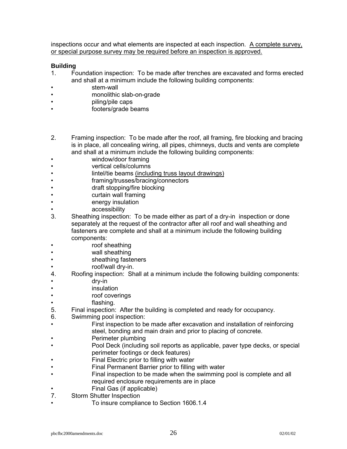inspections occur and what elements are inspected at each inspection. A complete survey, or special purpose survey may be required before an inspection is approved.

#### **Building**

- 1. Foundation inspection: To be made after trenches are excavated and forms erected and shall at a minimum include the following building components:
- stem-wall
- monolithic slab-on-grade
- **illuming/pile caps**
- interest footers/grade beams
- 2. Framing inspection: To be made after the roof, all framing, fire blocking and bracing is in place, all concealing wiring, all pipes, chimneys, ducts and vents are complete and shall at a minimum include the following building components:
- window/door framing
- **•** vertical cells/columns
- . **Intel/tie beams (including truss layout drawings)**
- framing/trusses/bracing/connectors
- **induction** draft stopping/fire blocking
- Curtain wall framing
- **Example in energy insulation**
- accessibility
- 3. Sheathing inspection: To be made either as part of a dry-in inspection or done separately at the request of the contractor after all roof and wall sheathing and fasteners are complete and shall at a minimum include the following building components:
- Troof sheathing
- **Wall sheathing**
- Sheathing fasteners
- roof/wall dry-in.
- 4. Roofing inspection: Shall at a minimum include the following building components:
- dry-in
- insulation
- **The roof coverings**
- flashing.
- 5. Final inspection: After the building is completed and ready for occupancy.
- 6. Swimming pool inspection:
	- First inspection to be made after excavation and installation of reinforcing steel, bonding and main drain and prior to placing of concrete.
- Perimeter plumbing
- **Pool Deck (including soil reports as applicable, paver type decks, or special** perimeter footings or deck features)
- Final Electric prior to filling with water
- Final Permanent Barrier prior to filling with water
- Final inspection to be made when the swimming pool is complete and all required enclosure requirements are in place
- **Final Gas (if applicable)**
- 7. Storm Shutter Inspection
	- To insure compliance to Section 1606.1.4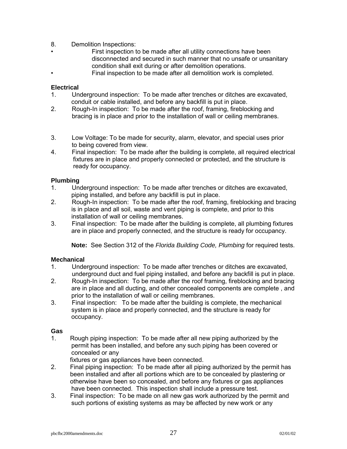- 8. Demolition Inspections:
- First inspection to be made after all utility connections have been disconnected and secured in such manner that no unsafe or unsanitary condition shall exit during or after demolition operations.
- Final inspection to be made after all demolition work is completed.

# **Electrical**

- 1. Underground inspection: To be made after trenches or ditches are excavated, conduit or cable installed, and before any backfill is put in place.
- 2. Rough-In inspection: To be made after the roof, framing, fireblocking and bracing is in place and prior to the installation of wall or ceiling membranes.
- 3. Low Voltage: To be made for security, alarm, elevator, and special uses prior to being covered from view.
- 4. Final inspection: To be made after the building is complete, all required electrical fixtures are in place and properly connected or protected, and the structure is ready for occupancy.

#### **Plumbing**

- 1. Underground inspection: To be made after trenches or ditches are excavated, piping installed, and before any backfill is put in place.
- 2. Rough-In inspection: To be made after the roof, framing, fireblocking and bracing is in place and all soil, waste and vent piping is complete, and prior to this installation of wall or ceiling membranes.
- 3. Final inspection: To be made after the building is complete, all plumbing fixtures are in place and properly connected, and the structure is ready for occupancy.

**Note:** See Section 312 of the *Florida Building Code, Plumbing* for required tests.

#### **Mechanical**

- 1. Underground inspection: To be made after trenches or ditches are excavated, underground duct and fuel piping installed, and before any backfill is put in place.<br>2. Rough-In inspection: To be made after the roof framing, fireblocking and bracing
- 2. Rough-In inspection: To be made after the roof framing, fireblocking and bracing are in place and all ducting, and other concealed components are complete , and prior to the installation of wall or ceiling membranes.
- 3. Final inspection: To be made after the building is complete, the mechanical system is in place and properly connected, and the structure is ready for occupancy.

#### **Gas**

1. Rough piping inspection: To be made after all new piping authorized by the permit has been installed, and before any such piping has been covered or concealed or any

fixtures or gas appliances have been connected.

- 2. Final piping inspection: To be made after all piping authorized by the permit has been installed and after all portions which are to be concealed by plastering or otherwise have been so concealed, and before any fixtures or gas appliances have been connected. This inspection shall include a pressure test.
- 3. Final inspection: To be made on all new gas work authorized by the permit and such portions of existing systems as may be affected by new work or any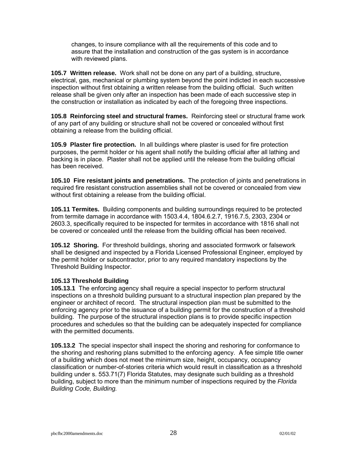changes, to insure compliance with all the requirements of this code and to assure that the installation and construction of the gas system is in accordance with reviewed plans.

**105.7 Written release.** Work shall not be done on any part of a building, structure, electrical, gas, mechanical or plumbing system beyond the point indicted in each successive inspection without first obtaining a written release from the building official. Such written release shall be given only after an inspection has been made of each successive step in the construction or installation as indicated by each of the foregoing three inspections.

**105.8 Reinforcing steel and structural frames.** Reinforcing steel or structural frame work of any part of any building or structure shall not be covered or concealed without first obtaining a release from the building official.

**105.9 Plaster fire protection.** In all buildings where plaster is used for fire protection purposes, the permit holder or his agent shall notify the building official after all lathing and backing is in place. Plaster shall not be applied until the release from the building official has been received.

**105.10 Fire resistant joints and penetrations.** The protection of joints and penetrations in required fire resistant construction assemblies shall not be covered or concealed from view without first obtaining a release from the building official.

**105.11 Termites.** Building components and building surroundings required to be protected from termite damage in accordance with 1503.4.4, 1804.6.2.7, 1916.7.5, 2303, 2304 or 2603.3, specifically required to be inspected for termites in accordance with 1816 shall not be covered or concealed until the release from the building official has been received.

**105.12 Shoring.** For threshold buildings, shoring and associated formwork or falsework shall be designed and inspected by a Florida Licensed Professional Engineer, employed by the permit holder or subcontractor, prior to any required mandatory inspections by the Threshold Building Inspector.

# **105.13 Threshold Building**

**105.13.1** The enforcing agency shall require a special inspector to perform structural inspections on a threshold building pursuant to a structural inspection plan prepared by the engineer or architect of record. The structural inspection plan must be submitted to the enforcing agency prior to the issuance of a building permit for the construction of a threshold building. The purpose of the structural inspection plans is to provide specific inspection procedures and schedules so that the building can be adequately inspected for compliance with the permitted documents.

**105.13.2** The special inspector shall inspect the shoring and reshoring for conformance to the shoring and reshoring plans submitted to the enforcing agency. A fee simple title owner of a building which does not meet the minimum size, height, occupancy, occupancy classification or number-of-stories criteria which would result in classification as a threshold building under s. 553.71(7) Florida Statutes, may designate such building as a threshold building, subject to more than the minimum number of inspections required by the *Florida Building Code, Building.*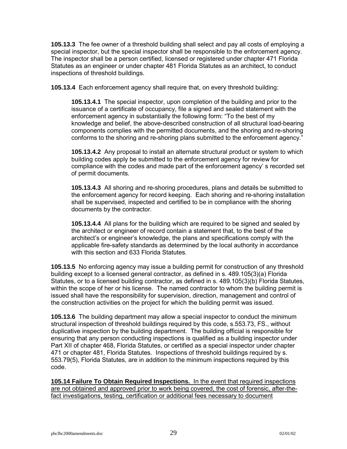**105.13.3** The fee owner of a threshold building shall select and pay all costs of employing a special inspector, but the special inspector shall be responsible to the enforcement agency. The inspector shall be a person certified, licensed or registered under chapter 471 Florida Statutes as an engineer or under chapter 481 Florida Statutes as an architect, to conduct inspections of threshold buildings.

**105.13.4** Each enforcement agency shall require that, on every threshold building:

**105.13.4.1** The special inspector, upon completion of the building and prior to the issuance of a certificate of occupancy, file a signed and sealed statement with the enforcement agency in substantially the following form: "To the best of my knowledge and belief, the above-described construction of all structural load-bearing components complies with the permitted documents, and the shoring and re-shoring conforms to the shoring and re-shoring plans submitted to the enforcement agency."

**105.13.4.2** Any proposal to install an alternate structural product or system to which building codes apply be submitted to the enforcement agency for review for compliance with the codes and made part of the enforcement agency's recorded set of permit documents.

**105.13.4.3** All shoring and re-shoring procedures, plans and details be submitted to the enforcement agency for record keeping. Each shoring and re-shoring installation shall be supervised, inspected and certified to be in compliance with the shoring documents by the contractor.

**105.13.4.4** All plans for the building which are required to be signed and sealed by the architect or engineer of record contain a statement that, to the best of the architectís or engineerís knowledge, the plans and specifications comply with the applicable fire-safety standards as determined by the local authority in accordance with this section and 633 Florida Statutes.

**105.13.5** No enforcing agency may issue a building permit for construction of any threshold building except to a licensed general contractor, as defined in s. 489.105(3)(a) Florida Statutes, or to a licensed building contractor, as defined in s. 489.105(3)(b) Florida Statutes, within the scope of her or his license. The named contractor to whom the building permit is issued shall have the responsibility for supervision, direction, management and control of the construction activities on the project for which the building permit was issued.

**105.13.6** The building department may allow a special inspector to conduct the minimum structural inspection of threshold buildings required by this code, s.553.73, FS., without duplicative inspection by the building department. The building official is responsible for ensuring that any person conducting inspections is qualified as a building inspector under Part XII of chapter 468, Florida Statutes, or certified as a special inspector under chapter 471 or chapter 481, Florida Statutes. Inspections of threshold buildings required by s. 553.79(5), Florida Statutes, are in addition to the minimum inspections required by this code.

**105.14 Failure To Obtain Required Inspections.** In the event that required inspections are not obtained and approved prior to work being covered, the cost of forensic, after-thefact investigations, testing, certification or additional fees necessary to document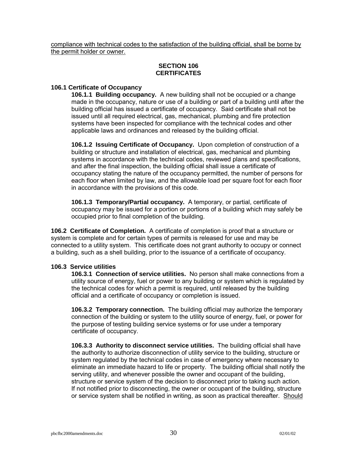compliance with technical codes to the satisfaction of the building official, shall be borne by the permit holder or owner.

# **SECTION 106 CERTIFICATES**

# **106.1 Certificate of Occupancy**

**106.1.1 Building occupancy.** A new building shall not be occupied or a change made in the occupancy, nature or use of a building or part of a building until after the building official has issued a certificate of occupancy. Said certificate shall not be issued until all required electrical, gas, mechanical, plumbing and fire protection systems have been inspected for compliance with the technical codes and other applicable laws and ordinances and released by the building official.

**106.1.2 Issuing Certificate of Occupancy.** Upon completion of construction of a building or structure and installation of electrical, gas, mechanical and plumbing systems in accordance with the technical codes, reviewed plans and specifications, and after the final inspection, the building official shall issue a certificate of occupancy stating the nature of the occupancy permitted, the number of persons for each floor when limited by law, and the allowable load per square foot for each floor in accordance with the provisions of this code.

**106.1.3 Temporary/Partial occupancy.** A temporary, or partial, certificate of occupancy may be issued for a portion or portions of a building which may safely be occupied prior to final completion of the building.

**106.2 Certificate of Completion.** A certificate of completion is proof that a structure or system is complete and for certain types of permits is released for use and may be connected to a utility system. This certificate does not grant authority to occupy or connect a building, such as a shell building, prior to the issuance of a certificate of occupancy.

#### **106.3 Service utilities**

**106.3.1 Connection of service utilities.** No person shall make connections from a utility source of energy, fuel or power to any building or system which is regulated by the technical codes for which a permit is required, until released by the building official and a certificate of occupancy or completion is issued.

**106.3.2 Temporary connection.** The building official may authorize the temporary connection of the building or system to the utility source of energy, fuel, or power for the purpose of testing building service systems or for use under a temporary certificate of occupancy.

**106.3.3 Authority to disconnect service utilities.** The building official shall have the authority to authorize disconnection of utility service to the building, structure or system regulated by the technical codes in case of emergency where necessary to eliminate an immediate hazard to life or property. The building official shall notify the serving utility, and whenever possible the owner and occupant of the building, structure or service system of the decision to disconnect prior to taking such action. If not notified prior to disconnecting, the owner or occupant of the building, structure or service system shall be notified in writing, as soon as practical thereafter. Should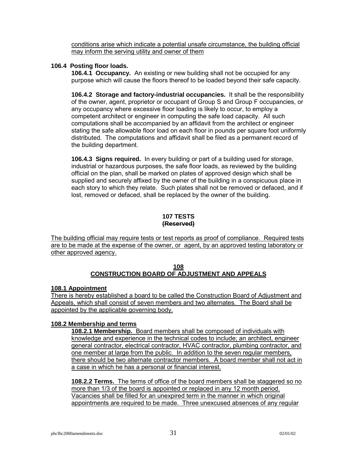conditions arise which indicate a potential unsafe circumstance, the building official may inform the serving utility and owner of them

# **106.4 Posting floor loads.**

**106.4.1 Occupancy.** An existing or new building shall not be occupied for any purpose which will cause the floors thereof to be loaded beyond their safe capacity.

**106.4.2 Storage and factory-industrial occupancies.** It shall be the responsibility of the owner, agent, proprietor or occupant of Group S and Group F occupancies, or any occupancy where excessive floor loading is likely to occur, to employ a competent architect or engineer in computing the safe load capacity. All such computations shall be accompanied by an affidavit from the architect or engineer stating the safe allowable floor load on each floor in pounds per square foot uniformly distributed. The computations and affidavit shall be filed as a permanent record of the building department.

**106.4.3 Signs required.** In every building or part of a building used for storage, industrial or hazardous purposes, the safe floor loads, as reviewed by the building official on the plan, shall be marked on plates of approved design which shall be supplied and securely affixed by the owner of the building in a conspicuous place in each story to which they relate. Such plates shall not be removed or defaced, and if lost, removed or defaced, shall be replaced by the owner of the building.

# **107 TESTS (Reserved)**

The building official may require tests or test reports as proof of compliance. Required tests are to be made at the expense of the owner, or agent, by an approved testing laboratory or other approved agency.

# **108 CONSTRUCTION BOARD OF ADJUSTMENT AND APPEALS**

#### **108.1 Appointment**

There is hereby established a board to be called the Construction Board of Adjustment and Appeals, which shall consist of seven members and two alternates. The Board shall be appointed by the applicable governing body.

#### **108.2 Membership and terms**

**108.2.1 Membership.** Board members shall be composed of individuals with knowledge and experience in the technical codes to include; an architect, engineer general contractor, electrical contractor, HVAC contractor, plumbing contractor, and one member at large from the public. In addition to the seven regular members, there should be two alternate contractor members. A board member shall not act in a case in which he has a personal or financial interest.

**108.2.2 Terms.** The terms of office of the board members shall be staggered so no more than 1/3 of the board is appointed or replaced in any 12 month period. Vacancies shall be filled for an unexpired term in the manner in which original appointments are required to be made. Three unexcused absences of any regular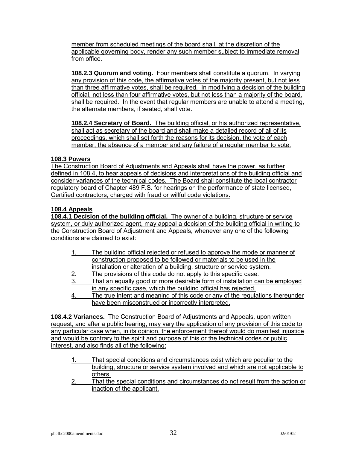member from scheduled meetings of the board shall, at the discretion of the applicable governing body, render any such member subject to immediate removal from office.

**108.2.3 Quorum and voting.** Four members shall constitute a quorum. In varying any provision of this code, the affirmative votes of the majority present, but not less than three affirmative votes, shall be required. In modifying a decision of the building official, not less than four affirmative votes, but not less than a majority of the board, shall be required. In the event that regular members are unable to attend a meeting, the alternate members, if seated, shall vote.

**108.2.4 Secretary of Board.** The building official, or his authorized representative, shall act as secretary of the board and shall make a detailed record of all of its proceedings, which shall set forth the reasons for its decision, the vote of each member, the absence of a member and any failure of a regular member to vote.

# **108.3 Powers**

The Construction Board of Adjustments and Appeals shall have the power, as further defined in 108.4, to hear appeals of decisions and interpretations of the building official and consider variances of the technical codes. The Board shall constitute the local contractor regulatory board of Chapter 489 F.S. for hearings on the performance of state licensed, Certified contractors, charged with fraud or willful code violations.

# **108.4 Appeals**

**108.4.1 Decision of the building official.** The owner of a building, structure or service system, or duly authorized agent, may appeal a decision of the building official in writing to the Construction Board of Adjustment and Appeals, whenever any one of the following conditions are claimed to exist:

|    | The building official rejected or refused to approve the mode or manner of |
|----|----------------------------------------------------------------------------|
|    | construction proposed to be followed or materials to be used in the        |
|    | installation or alteration of a building, structure or service system.     |
| -2 | The provisions of this code do not apply to this specific case.            |

- 3. That an equally good or more desirable form of installation can be employed in any specific case, which the building official has rejected.
- 4. The true intent and meaning of this code or any of the regulations thereunder have been misconstrued or incorrectly interpreted.

**108.4.2 Variances.** The Construction Board of Adjustments and Appeals, upon written request, and after a public hearing, may vary the application of any provision of this code to any particular case when, in its opinion, the enforcement thereof would do manifest injustice and would be contrary to the spirit and purpose of this or the technical codes or public interest, and also finds all of the following:

- That special conditions and circumstances exist which are peculiar to the building, structure or service system involved and which are not applicable to others.
- 2. That the special conditions and circumstances do not result from the action or inaction of the applicant.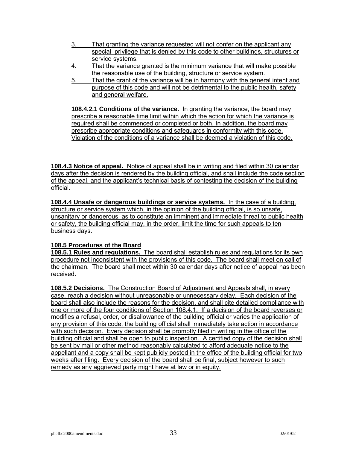- 3. That granting the variance requested will not confer on the applicant any special privilege that is denied by this code to other buildings, structures or service systems.
- 4. That the variance granted is the minimum variance that will make possible the reasonable use of the building, structure or service system.
- 5. That the grant of the variance will be in harmony with the general intent and purpose of this code and will not be detrimental to the public health, safety and general welfare.

**108.4.2.1 Conditions of the variance.** In granting the variance, the board may prescribe a reasonable time limit within which the action for which the variance is required shall be commenced or completed or both. In addition, the board may prescribe appropriate conditions and safeguards in conformity with this code. Violation of the conditions of a variance shall be deemed a violation of this code.

**108.4.3 Notice of appeal.** Notice of appeal shall be in writing and filed within 30 calendar days after the decision is rendered by the building official, and shall include the code section of the appeal, and the applicant's technical basis of contesting the decision of the building official.

**108.4.4 Unsafe or dangerous buildings or service systems.** In the case of a building, structure or service system which, in the opinion of the building official, is so unsafe, unsanitary or dangerous, as to constitute an imminent and immediate threat to public health or safety, the building official may, in the order, limit the time for such appeals to ten business days.

# **108.5 Procedures of the Board**

**108.5.1 Rules and regulations.** The board shall establish rules and regulations for its own procedure not inconsistent with the provisions of this code. The board shall meet on call of the chairman. The board shall meet within 30 calendar days after notice of appeal has been received.

**108.5.2 Decisions.** The Construction Board of Adjustment and Appeals shall, in every case, reach a decision without unreasonable or unnecessary delay. Each decision of the board shall also include the reasons for the decision, and shall cite detailed compliance with one or more of the four conditions of Section 108.4.1. If a decision of the board reverses or modifies a refusal, order, or disallowance of the building official or varies the application of any provision of this code, the building official shall immediately take action in accordance with such decision. Every decision shall be promptly filed in writing in the office of the building official and shall be open to public inspection. A certified copy of the decision shall be sent by mail or other method reasonably calculated to afford adequate notice to the appellant and a copy shall be kept publicly posted in the office of the building official for two weeks after filing. Every decision of the board shall be final, subject however to such remedy as any aggrieved party might have at law or in equity.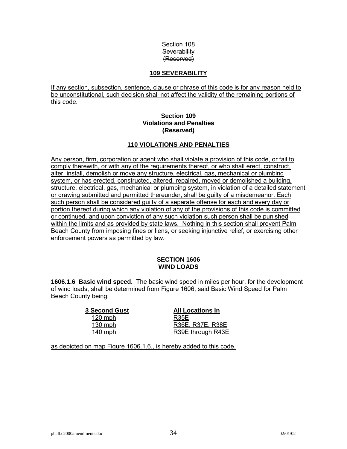# Section 108 **Severability** (Reserved)

# **109 SEVERABILITY**

If any section, subsection, sentence, clause or phrase of this code is for any reason held to be unconstitutional, such decision shall not affect the validity of the remaining portions of this code.

# **Section 109 Violations and Penalties (Reserved)**

# **110 VIOLATIONS AND PENALTIES**

Any person, firm, corporation or agent who shall violate a provision of this code, or fail to comply therewith, or with any of the requirements thereof, or who shall erect, construct, alter, install, demolish or move any structure, electrical, gas, mechanical or plumbing system, or has erected, constructed, altered, repaired, moved or demolished a building, structure, electrical, gas, mechanical or plumbing system, in violation of a detailed statement or drawing submitted and permitted thereunder, shall be guilty of a misdemeanor. Each such person shall be considered guilty of a separate offense for each and every day or portion thereof during which any violation of any of the provisions of this code is committed or continued, and upon conviction of any such violation such person shall be punished within the limits and as provided by state laws. Nothing in this section shall prevent Palm Beach County from imposing fines or liens, or seeking injunctive relief, or exercising other enforcement powers as permitted by law.

# **SECTION 1606 WIND LOADS**

**1606.1.6 Basic wind speed.** The basic wind speed in miles per hour, for the development of wind loads, shall be determined from Figure 1606, said Basic Wind Speed for Palm Beach County being:

> **3 Second Gust All Locations In** 120 mph R35E

130 mph R36E, R37E, R38E 140 mph R39E through R43E

as depicted on map Figure 1606.1.6., is hereby added to this code.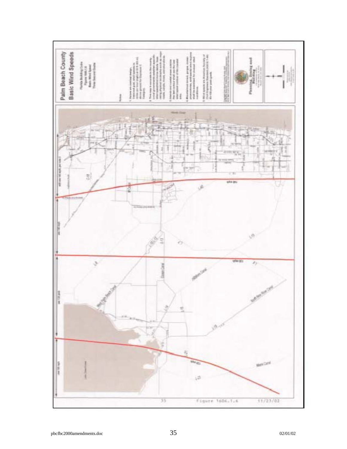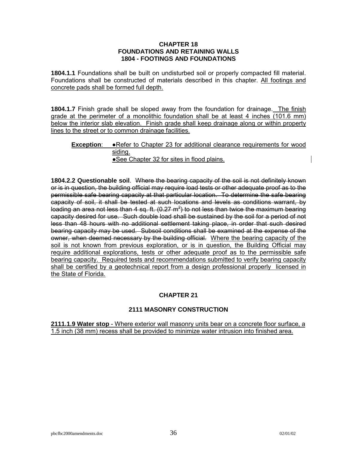#### **CHAPTER 18 FOUNDATIONS AND RETAINING WALLS 1804 - FOOTINGS AND FOUNDATIONS**

**1804.1.1** Foundations shall be built on undisturbed soil or properly compacted fill material. Foundations shall be constructed of materials described in this chapter. All footings and concrete pads shall be formed full depth.

**1804.1.7** Finish grade shall be sloped away from the foundation for drainage. The finish grade at the perimeter of a monolithic foundation shall be at least 4 inches (101.6 mm) below the interior slab elevation. Finish grade shall keep drainage along or within property lines to the street or to common drainage facilities.

#### **Exception**: ●Refer to Chapter 23 for additional clearance requirements for wood siding. ●See Chapter 32 for sites in flood plains.

**1804.2.2 Questionable soil**. Where the bearing capacity of the soil is not definitely known or is in question, the building official may require load tests or other adequate proof as to the permissible safe bearing capacity at that particular location. To determine the safe bearing capacity of soil, it shall be tested at such locations and levels as conditions warrant, by loading an area not less than 4 sq. ft. (0.27 m<sup>2</sup>) to not less than twice the maximum bearing capacity desired for use. Such double load shall be sustained by the soil for a period of not less than 48 hours with no additional settlement taking place, in order that such desired bearing capacity may be used. Subsoil conditions shall be examined at the expense of the owner, when deemed necessary by the building official. Where the bearing capacity of the soil is not known from previous exploration, or is in question, the Building Official may require additional explorations, tests or other adequate proof as to the permissible safe bearing capacity. Required tests and recommendations submitted to verify bearing capacity shall be certified by a geotechnical report from a design professional properly licensed in the State of Florida.

# **CHAPTER 21**

# **2111 MASONRY CONSTRUCTION**

**2111.1.9 Water stop** - Where exterior wall masonry units bear on a concrete floor surface, a 1.5 inch (38 mm) recess shall be provided to minimize water intrusion into finished area.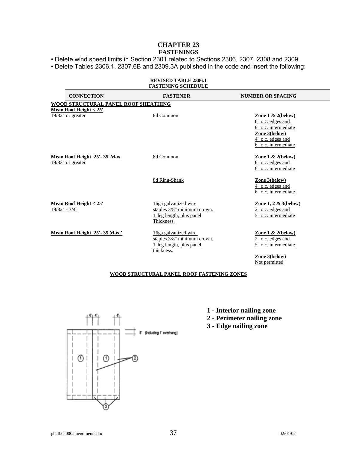# **CHAPTER 23 FASTENINGS**

• Delete wind speed limits in Section 2301 related to Sections 2306, 2307, 2308 and 2309.

ï Delete Tables 2306.1, 2307.6B and 2309.3A published in the code and insert the following:

|                                                                          | <b>REVISED TABLE 2306.1</b><br><b>FASTENING SCHEDULE</b>                                      |                                                                                                                                 |
|--------------------------------------------------------------------------|-----------------------------------------------------------------------------------------------|---------------------------------------------------------------------------------------------------------------------------------|
| <b>CONNECTION</b>                                                        | <b>FASTENER</b>                                                                               | <b>NUMBER OR SPACING</b>                                                                                                        |
| WOOD STRUCTURAL PANEL ROOF SHEATHING<br><b>Mean Roof Height &lt; 25'</b> |                                                                                               |                                                                                                                                 |
| 19/32" or greater                                                        | 8d Common                                                                                     | Zone $1 & 2$ (below)<br>6" o.c. edges and<br>6" o.c. intermediate<br>Zone 3(below)<br>4" o.c. edges and<br>6" o.c. intermediate |
| Mean Roof Height 25'-35' Max.<br>19/32" or greater                       | 8d Common                                                                                     | Zone $1 & 2$ (below)<br>6" o.c. edges and<br>6" o.c. intermediate                                                               |
|                                                                          | 8d Ring-Shank                                                                                 | Zone 3(below)<br>4" o.c. edges and<br>6" o.c. intermediate                                                                      |
| <b>Mean Roof Height &lt; 25'</b><br>$19/32" - 3/4"$                      | 16ga galvanized wire<br>staples 3/8" minimum crown.<br>1"leg length, plus panel<br>Thickness. | Zone 1, 2 & 3(below)<br>2" o.c. edges and<br>5" o.c. intermediate                                                               |
| Mean Roof Height 25'-35 Max.'                                            | 16ga galvanized wire<br>staples 3/8" minimum crown.<br>1"leg length, plus panel<br>thickness. | Zone $1 & 2$ (below)<br>2" o.c. edges and<br>5" o.c. intermediate<br>Zone 3(below)                                              |
|                                                                          | WOOD STRUCTURAL PANEL ROOF FASTENING ZONES                                                    | Not permitted                                                                                                                   |
|                                                                          |                                                                                               |                                                                                                                                 |
|                                                                          | 1 - Interior nailing zone<br>2 - Perimeter nailing zone<br>3 - Edge nailing zone              |                                                                                                                                 |
|                                                                          | (Including 1' overhang)                                                                       |                                                                                                                                 |

⊙ ! ⊨

⊚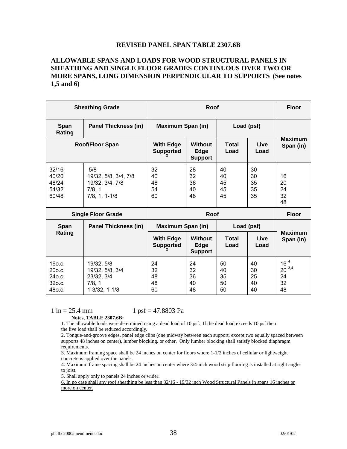#### **REVISED PANEL SPAN TABLE 2307.6B**

# **ALLOWABLE SPANS AND LOADS FOR WOOD STRUCTURAL PANELS IN SHEATHING AND SINGLE FLOOR GRADES CONTINUOUS OVER TWO OR MORE SPANS, LONG DIMENSION PERPENDICULAR TO SUPPORTS (See notes 1,5 and 6)**

| <b>Sheathing Grade</b>                         |                                                                             | Roof                                   |                                          |                            |                            | <b>Floor</b>                                    |
|------------------------------------------------|-----------------------------------------------------------------------------|----------------------------------------|------------------------------------------|----------------------------|----------------------------|-------------------------------------------------|
| Span<br>Rating                                 | <b>Panel Thickness (in)</b>                                                 | <b>Maximum Span (in)</b><br>Load (psf) |                                          |                            |                            |                                                 |
| <b>Roof/Floor Span</b>                         |                                                                             | <b>With Edge</b><br><b>Supported</b>   | <b>Without</b><br>Edge<br><b>Support</b> | <b>Total</b><br>Load       | Live<br>Load               | <b>Maximum</b><br>Span (in)                     |
| 32/16<br>40/20<br>48/24<br>54/32<br>60/48      | 5/8<br>19/32, 5/8, 3/4, 7/8<br>19/32, 3/4, 7/8<br>7/8, 1<br>$7/8, 1, 1-1/8$ | 32<br>40<br>48<br>54<br>60             | 28<br>32<br>36<br>40<br>48               | 40<br>40<br>45<br>45<br>45 | 30<br>30<br>35<br>35<br>35 | 16<br>20<br>24<br>32<br>48                      |
| <b>Single Floor Grade</b>                      |                                                                             | <b>Roof</b>                            |                                          |                            |                            | <b>Floor</b>                                    |
| <b>Span</b>                                    | <b>Panel Thickness (in)</b>                                                 | <b>Maximum Span (in)</b><br>Load (psf) |                                          |                            |                            |                                                 |
| Rating                                         |                                                                             | <b>With Edge</b><br><b>Supported</b>   | <b>Without</b><br>Edge<br><b>Support</b> | <b>Total</b><br>Load       | Live<br>Load               | <b>Maximum</b><br>Span (in)                     |
| 160.c.<br>20o.c.<br>240.c.<br>32o.c.<br>480.C. | 19/32, 5/8<br>19/32, 5/8, 3/4<br>23/32, 3/4<br>7/8, 1<br>1-3/32, 1-1/8      | 24<br>32<br>48<br>48<br>60             | 24<br>32<br>36<br>40<br>48               | 50<br>40<br>35<br>50<br>50 | 40<br>30<br>25<br>40<br>40 | 16 <sup>4</sup><br>$20^{3,4}$<br>24<br>32<br>48 |

 $1 \text{ in} = 25.4 \text{ mm}$   $1 \text{ psf} = 47.8803 \text{ Pa}$ 

**Notes, TABLE 2307.6B:** 

1. The allowable loads were determined using a dead load of 10 psf. If the dead load exceeds 10 psf then the live load shall be reduced accordingly.

2. Tongue-and-groove edges, panel edge clips (one midway between each support, except two equally spaced between supports 48 inches on center), lumber blocking, or other. Only lumber blocking shall satisfy blocked diaphragm requirements.

3. Maximum framing space shall be 24 inches on center for floors where 1-1/2 inches of cellular or lightweight concrete is applied over the panels.

4. Maximum frame spacing shall be 24 inches on center where 3/4-inch wood strip flooring is installed at right angles to joist.

5. Shall apply only to panels 24 inches or wider.

6. In no case shall any roof sheathing be less than 32/16 - 19/32 inch Wood Structural Panels in spans 16 inches or more on center.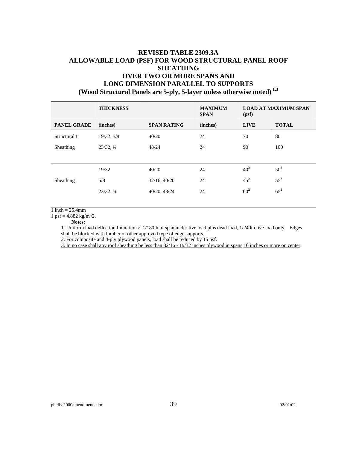# **REVISED TABLE 2309.3A ALLOWABLE LOAD (PSF) FOR WOOD STRUCTURAL PANEL ROOF SHEATHING OVER TWO OR MORE SPANS AND LONG DIMENSION PARALLEL TO SUPPORTS (Wood Structural Panels are 5-ply, 5-layer unless otherwise noted) 1,3**

|                    | <b>THICKNESS</b> |                    | <b>MAXIMUM</b><br><b>SPAN</b> | <b>LOAD AT MAXIMUM SPAN</b><br>(psf) |              |
|--------------------|------------------|--------------------|-------------------------------|--------------------------------------|--------------|
| <b>PANEL GRADE</b> | (inches)         | <b>SPAN RATING</b> | (inches)                      | <b>LIVE</b>                          | <b>TOTAL</b> |
| Structural I       | 19/32, 5/8       | 40/20              | 24                            | 70                                   | 80           |
| Sheathing          | 23/32, 3/4       | 48/24              | 24                            | 90                                   | 100          |
|                    |                  |                    |                               |                                      |              |
|                    | 19/32            | 40/20              | 24                            | 40 <sup>2</sup>                      | $50^{2}$     |
| Sheathing          | 5/8              | 32/16, 40/20       | 24                            | $45^2$                               | $55^{2}$     |
|                    | 23/32, 3/4       | 40/20, 48/24       | 24                            | 60 <sup>2</sup>                      | $65^2$       |
|                    |                  |                    |                               |                                      |              |

 $1$  inch = 25.4mm

1 psf =  $4.882 \text{ kg/m}^2$ .

**Notes:** 

1. Uniform load deflection limitations: 1/180th of span under live load plus dead load, 1/240th live load only. Edges shall be blocked with lumber or other approved type of edge supports.

2. For composite and 4-ply plywood panels, load shall be reduced by 15 psf.

3. In no case shall any roof sheathing be less than 32/16 - 19/32 inches plywood in spans 16 inches or more on center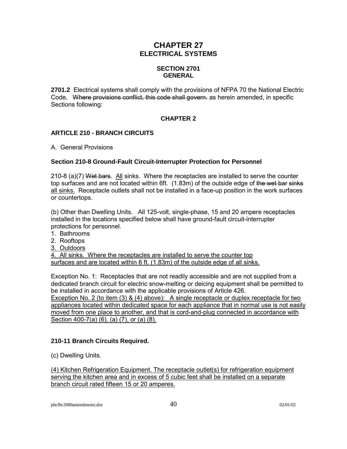# **CHAPTER 27 ELECTRICAL SYSTEMS**

# **SECTION 2701 GENERAL**

**2701.2** Electrical systems shall comply with the provisions of NFPA 70 the National Electric Code. Where provisions conflict, this code shall govern, as herein amended, in specific Sections following:

# **CHAPTER 2**

# **ARTICLE 210 - BRANCH CIRCUITS**

A. General Provisions

# **Section 210-8 Ground-Fault Circuit-Interrupter Protection for Personnel**

210-8 (a)(7) Wet bars. All sinks. Where the receptacles are installed to serve the counter top surfaces and are not located within 6ft. (1.83m) of the outside edge of the wet bar sinks all sinks. Receptacle outlets shall not be installed in a face-up position in the work surfaces or countertops.

(b) Other than Dwelling Units. All 125-volt, single-phase, 15 and 20 ampere receptacles installed in the locations specified below shall have ground-fault circuit-interrupter protections for personnel.

- 1. Bathrooms
- 2. Rooftops
- 3. Outdoors

4. All sinks. Where the receptacles are installed to serve the counter top surfaces and are located within 6 ft. (1.83m) of the outside edge of all sinks.

Exception No. 1: Receptacles that are not readily accessible and are not supplied from a dedicated branch circuit for electric snow-melting or deicing equipment shall be permitted to be installed in accordance with the applicable provisions of Article 426. Exception No. 2 (to item (3) & (4) above): A single receptacle or duplex receptacle for two appliances located within dedicated space for each appliance that in normal use is not easily moved from one place to another, and that is cord-and-plug connected in accordance with

Section 400-7(a) (6), (a) (7), or (a) (8).

# **210-11 Branch Circuits Required.**

(c) Dwelling Units.

(4) Kitchen Refrigeration Equipment. The receptacle outlet(s) for refrigeration equipment serving the kitchen area and in excess of 5 cubic feet shall be installed on a separate branch circuit rated fifteen 15 or 20 amperes.

pbcfbc2000amendments.doc 40 02/01/02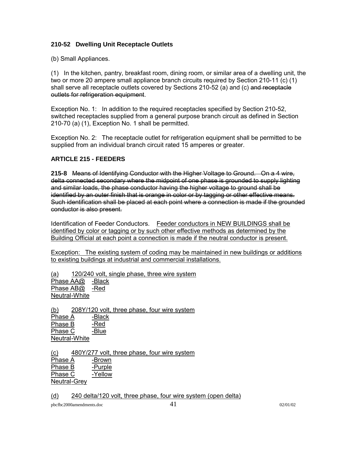# **210-52 Dwelling Unit Receptacle Outlets**

(b) Small Appliances.

(1) In the kitchen, pantry, breakfast room, dining room, or similar area of a dwelling unit, the two or more 20 ampere small appliance branch circuits required by Section 210-11 (c) (1) shall serve all receptacle outlets covered by Sections 210-52 (a) and (c) and receptacle outlets for refrigeration equipment.

Exception No. 1: In addition to the required receptacles specified by Section 210-52, switched receptacles supplied from a general purpose branch circuit as defined in Section 210-70 (a) (1), Exception No. 1 shall be permitted.

Exception No. 2: The receptacle outlet for refrigeration equipment shall be permitted to be supplied from an individual branch circuit rated 15 amperes or greater.

# **ARTICLE 215 - FEEDERS**

**215-8** Means of Identifying Conductor with the Higher Voltage to Ground. On a 4 wire, delta connected secondary where the midpoint of one phase is grounded to supply lighting and similar loads, the phase conductor having the higher voltage to ground shall be identified by an outer finish that is orange in color or by tagging or other effective means. Such identification shall be placed at each point where a connection is made if the grounded conductor is also present.

Identification of Feeder Conductors. Feeder conductors in NEW BUILDINGS shall be identified by color or tagging or by such other effective methods as determined by the Building Official at each point a connection is made if the neutral conductor is present.

Exception: The existing system of coding may be maintained in new buildings or additions to existing buildings at industrial and commercial installations.

(a) 120/240 volt, single phase, three wire system Phase AA@ -Black Phase AB@ -Red Neutral -White

(b) 208Y/120 volt, three phase, four wire system Phase A -Black Phase B -Red Phase C -Blue Neutral -White

(c) 480Y/277 volt, three phase, four wire system

Phase A -Brown Phase B -Purple Phase C -Yellow Neutral -Grey

#### (d) 240 delta/120 volt, three phase, four wire system (open delta)

pbcfbc2000amendments.doc  $41$  02/01/02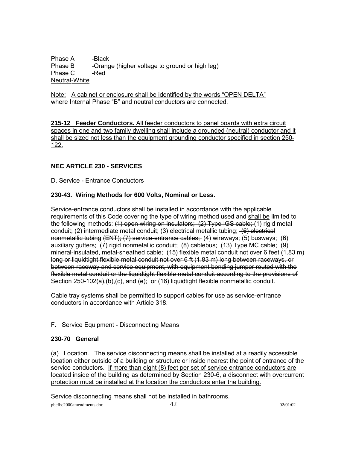Phase A -Black Phase B -Orange (higher voltage to ground or high leg) Phase C -Red Neutral -White

Note: A cabinet or enclosure shall be identified by the words "OPEN DELTA" where Internal Phase "B" and neutral conductors are connected.

**215-12 Feeder Conductors.** All feeder conductors to panel boards with extra circuit spaces in one and two family dwelling shall include a grounded (neutral) conductor and it shall be sized not less than the equipment grounding conductor specified in section 250- 122.

# **NEC ARTICLE 230 - SERVICES**

D. Service - Entrance Conductors

# **230-43. Wiring Methods for 600 Volts, Nominal or Less.**

Service-entrance conductors shall be installed in accordance with the applicable requirements of this Code covering the type of wiring method used and shall be limited to the following methods: (1) open wiring on insulators; (2) Type IGS cable; (1) rigid metal conduit; (2) intermediate metal conduit; (3) electrical metallic tubing; (6) electrical nonmetallic tubing (ENT); (7) service-entrance cables; (4) wireways; (5) busways; (6) auxiliary gutters; (7) rigid nonmetallic conduit; (8) cablebus;  $(13)$  Type MC cable; (9) mineral-insulated, metal-sheathed cable; (15) flexible metal conduit not over 6 feet (1.83 m) long or liquidtight flexible metal conduit not over 6 ft (1.83 m) long between raceways, or between raceway and service equipment, with equipment bonding jumper routed with the flexible metal conduit or the liquidtight flexible metal conduit according to the provisions of Section 250-102(a),(b),(c), and (e); or (16) liquidtight flexible nonmetallic conduit.

Cable tray systems shall be permitted to support cables for use as service-entrance conductors in accordance with Article 318.

#### F. Service Equipment - Disconnecting Means

#### **230-70 General**

(a) Location. The service disconnecting means shall be installed at a readily accessible location either outside of a building or structure or inside nearest the point of entrance of the service conductors. If more than eight (8) feet per set of service entrance conductors are located inside of the building as determined by Section 230-6, a disconnect with overcurrent protection must be installed at the location the conductors enter the building.

Service disconnecting means shall not be installed in bathrooms.

pbcfbc2000amendments.doc  $42$  02/01/02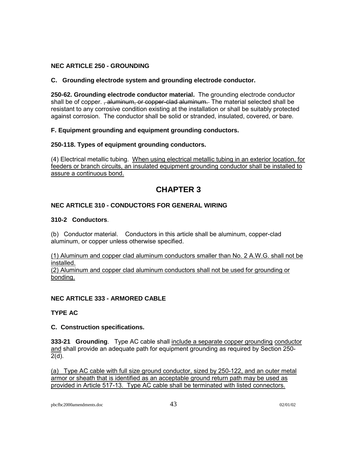# **NEC ARTICLE 250 - GROUNDING**

# **C. Grounding electrode system and grounding electrode conductor.**

**250-62. Grounding electrode conductor material.** The grounding electrode conductor shall be of copper. <del>, aluminum, or copper-clad aluminum.</del> The material selected shall be resistant to any corrosive condition existing at the installation or shall be suitably protected against corrosion. The conductor shall be solid or stranded, insulated, covered, or bare.

# **F. Equipment grounding and equipment grounding conductors.**

# **250-118. Types of equipment grounding conductors.**

(4) Electrical metallic tubing. When using electrical metallic tubing in an exterior location, for feeders or branch circuits, an insulated equipment grounding conductor shall be installed to assure a continuous bond.

# **CHAPTER 3**

# **NEC ARTICLE 310 - CONDUCTORS FOR GENERAL WIRING**

# **310-2 Conductors**.

(b) Conductor material. Conductors in this article shall be aluminum, copper-clad aluminum, or copper unless otherwise specified.

(1) Aluminum and copper clad aluminum conductors smaller than No. 2 A.W.G. shall not be installed. (2) Aluminum and copper clad aluminum conductors shall not be used for grounding or bonding.

# **NEC ARTICLE 333 - ARMORED CABLE**

# **TYPE AC**

# **C. Construction specifications.**

**333-21 Grounding**. Type AC cable shall include a separate copper grounding conductor and shall provide an adequate path for equipment grounding as required by Section 250-2(d).

(a) Type AC cable with full size ground conductor, sized by 250-122, and an outer metal armor or sheath that is identified as an acceptable ground return path may be used as provided in Article 517-13. Type AC cable shall be terminated with listed connectors.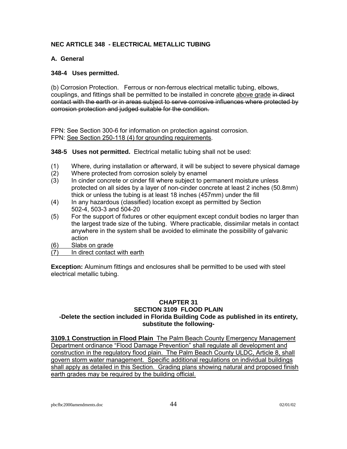# **NEC ARTICLE 348 - ELECTRICAL METALLIC TUBING**

# **A. General**

# **348-4 Uses permitted.**

(b) Corrosion Protection. Ferrous or non-ferrous electrical metallic tubing, elbows, couplings, and fittings shall be permitted to be installed in concrete above grade in direct contact with the earth or in areas subject to serve corrosive influences where protected by corrosion protection and judged suitable for the condition.

FPN: See Section 300-6 for information on protection against corrosion. FPN: See Section 250-118 (4) for grounding requirements.

**348-5 Uses not permitted.** Electrical metallic tubing shall not be used:

- (1) Where, during installation or afterward, it will be subject to severe physical damage
- (2) Where protected from corrosion solely by enamel
- (3) In cinder concrete or cinder fill where subject to permanent moisture unless protected on all sides by a layer of non-cinder concrete at least 2 inches (50.8mm) thick or unless the tubing is at least 18 inches (457mm) under the fill
- (4) In any hazardous (classified) location except as permitted by Section 502-4, 503-3 and 504-20
- (5) For the support of fixtures or other equipment except conduit bodies no larger than the largest trade size of the tubing. Where practicable, dissimilar metals in contact anywhere in the system shall be avoided to eliminate the possibility of galvanic action
- (6) Slabs on grade
- (7) In direct contact with earth

**Exception:** Aluminum fittings and enclosures shall be permitted to be used with steel electrical metallic tubing.

# **CHAPTER 31 SECTION 3109 FLOOD PLAIN -Delete the section included in Florida Building Code as published in its entirety, substitute the following-**

**3109.1 Construction in Flood Plain** The Palm Beach County Emergency Management Department ordinance "Flood Damage Prevention" shall regulate all development and construction in the regulatory flood plain. The Palm Beach County ULDC, Article 8, shall govern storm water management. Specific additional regulations on individual buildings shall apply as detailed in this Section. Grading plans showing natural and proposed finish earth grades may be required by the building official.

pbcfbc2000amendments.doc 02/01/02 02/01/02